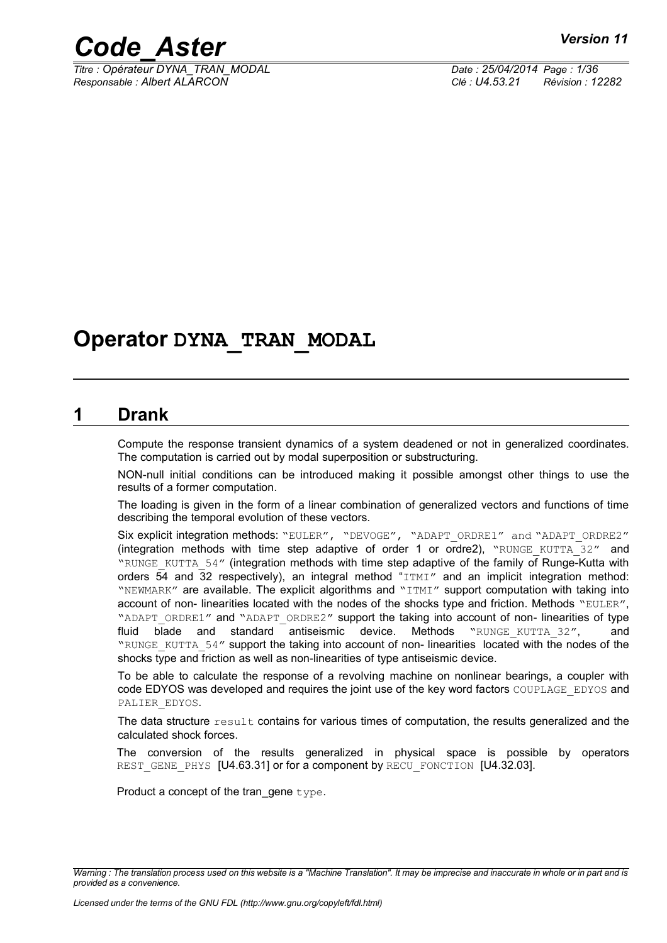

*Titre : Opérateur DYNA\_TRAN\_MODAL Date : 25/04/2014 Page : 1/36 Responsable : Albert ALARCON Clé : U4.53.21 Révision : 12282*

### **Operator DYNA\_TRAN\_MODAL**

### **1 Drank**

Compute the response transient dynamics of a system deadened or not in generalized coordinates. The computation is carried out by modal superposition or substructuring.

NON-null initial conditions can be introduced making it possible amongst other things to use the results of a former computation.

The loading is given in the form of a linear combination of generalized vectors and functions of time describing the temporal evolution of these vectors.

Six explicit integration methods: "EULER", "DEVOGE", "ADAPT\_ORDRE1" and "ADAPT\_ORDRE2" (integration methods with time step adaptive of order 1 or ordre2), "RUNGE KUTTA  $32''$  and "RUNGE\_KUTTA\_54" (integration methods with time step adaptive of the family of Runge-Kutta with orders 54 and 32 respectively), an integral method "ITMI" and an implicit integration method: "NEWMARK" are available. The explicit algorithms and "ITMI" support computation with taking into account of non- linearities located with the nodes of the shocks type and friction. Methods "EULER", "ADAPT\_ORDRE1" and "ADAPT\_ORDRE2" support the taking into account of non-linearities of type fluid blade and standard antiseismic device. Methods "RUNGE\_KUTTA\_32", and "RUNGE\_KUTTA\_54" support the taking into account of non- linearities located with the nodes of the shocks type and friction as well as non-linearities of type antiseismic device.

To be able to calculate the response of a revolving machine on nonlinear bearings, a coupler with code EDYOS was developed and requires the joint use of the key word factors COUPLAGE\_EDYOS and PALIER\_EDYOS.

The data structure result contains for various times of computation, the results generalized and the calculated shock forces.

The conversion of the results generalized in physical space is possible by operators REST GENE PHYS [U4.63.31] or for a component by RECU\_FONCTION [U4.32.03].

Product a concept of the tran\_gene type.

*Warning : The translation process used on this website is a "Machine Translation". It may be imprecise and inaccurate in whole or in part and is provided as a convenience.*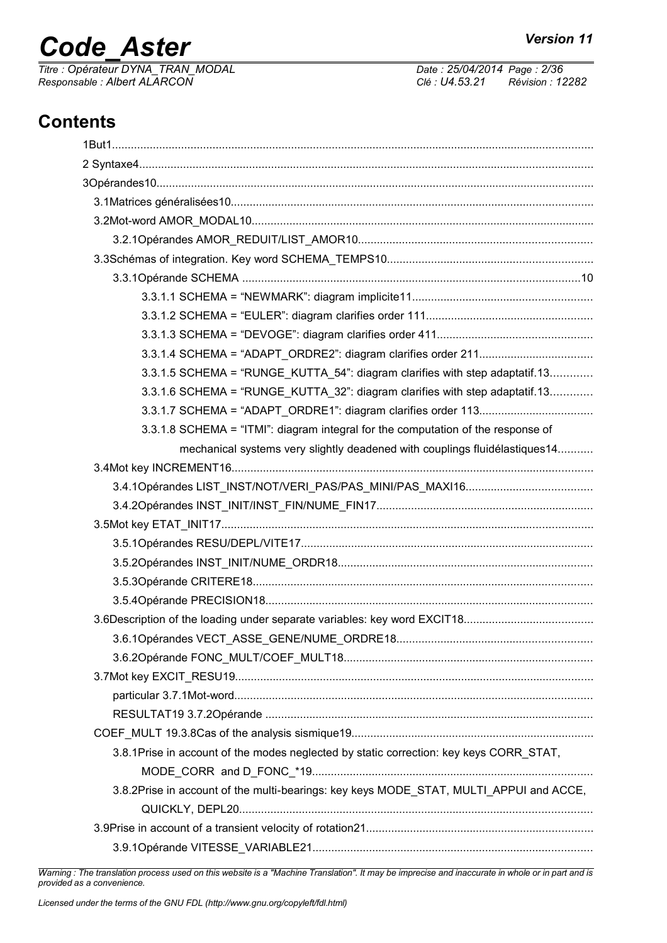# *Code\_Aster Version 11*<br>Titre : Opérateur DYNA TRAN MODAL Date : 25/04/2014 Page : 2/36

*Titre : Opérateur DYNA\_TRAN\_MODAL Date : 25/04/2014 Page : 2/36 Responsable : Albert ALARCON Clé : U4.53.21 Révision : 12282*

### **Contents**

| 3.3.1.5 SCHEMA = "RUNGE KUTTA 54": diagram clarifies with step adaptatif.13            |
|----------------------------------------------------------------------------------------|
| 3.3.1.6 SCHEMA = "RUNGE_KUTTA_32": diagram clarifies with step adaptatif.13            |
|                                                                                        |
| 3.3.1.8 SCHEMA = "ITMI": diagram integral for the computation of the response of       |
| mechanical systems very slightly deadened with couplings fluidélastiques14             |
|                                                                                        |
|                                                                                        |
|                                                                                        |
|                                                                                        |
|                                                                                        |
|                                                                                        |
|                                                                                        |
|                                                                                        |
|                                                                                        |
|                                                                                        |
|                                                                                        |
|                                                                                        |
|                                                                                        |
|                                                                                        |
|                                                                                        |
| 3.8.1Prise in account of the modes neglected by static correction: key keys CORR_STAT, |
|                                                                                        |
| 3.8.2Prise in account of the multi-bearings: key keys MODE_STAT, MULTI_APPUI and ACCE, |
|                                                                                        |
|                                                                                        |
|                                                                                        |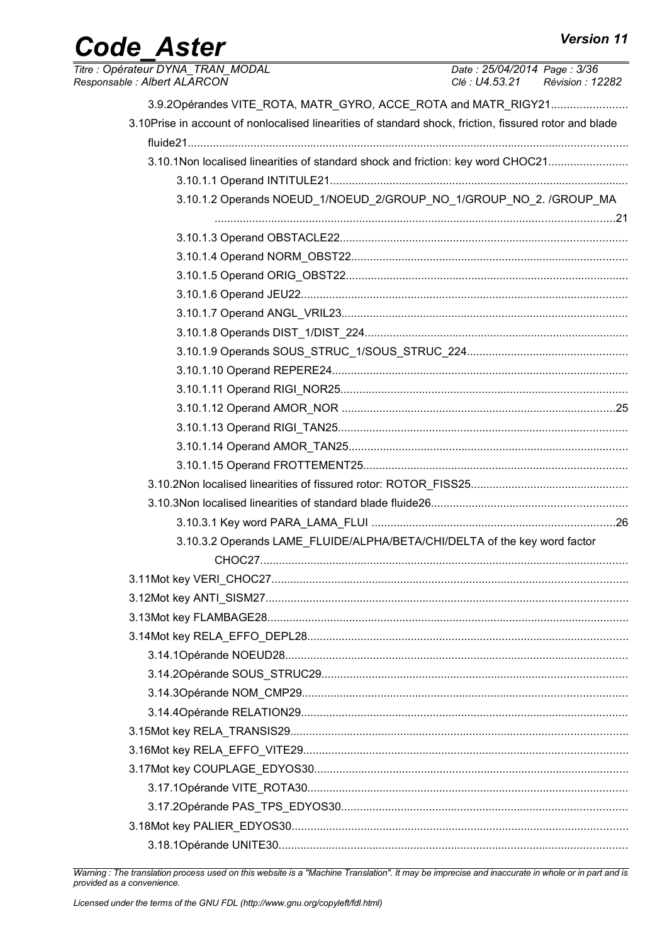# Code\_Aster

| Titre: Opérateur DYNA_TRAN_MODAL<br>Responsable: Albert ALARCON                                        | Date: 25/04/2014 Page: 3/36<br>Clé : U4.53.21 Révision : 12282 |
|--------------------------------------------------------------------------------------------------------|----------------------------------------------------------------|
| 3.9.2Opérandes VITE_ROTA, MATR_GYRO, ACCE_ROTA and MATR_RIGY21                                         |                                                                |
| 3.10Prise in account of nonlocalised linearities of standard shock, friction, fissured rotor and blade |                                                                |
|                                                                                                        |                                                                |
| 3.10.1Non localised linearities of standard shock and friction: key word CHOC21                        |                                                                |
|                                                                                                        |                                                                |
| 3.10.1.2 Operands NOEUD_1/NOEUD_2/GROUP_NO_1/GROUP_NO_2. /GROUP_MA                                     |                                                                |
|                                                                                                        |                                                                |
|                                                                                                        |                                                                |
|                                                                                                        |                                                                |
|                                                                                                        |                                                                |
|                                                                                                        |                                                                |
|                                                                                                        |                                                                |
|                                                                                                        |                                                                |
|                                                                                                        |                                                                |
|                                                                                                        |                                                                |
|                                                                                                        |                                                                |
|                                                                                                        |                                                                |
|                                                                                                        |                                                                |
|                                                                                                        |                                                                |
|                                                                                                        |                                                                |
|                                                                                                        |                                                                |
|                                                                                                        |                                                                |
| 3.10.3.2 Operands LAME_FLUIDE/ALPHA/BETA/CHI/DELTA of the key word factor                              |                                                                |
|                                                                                                        |                                                                |
|                                                                                                        |                                                                |
|                                                                                                        |                                                                |
|                                                                                                        |                                                                |
|                                                                                                        |                                                                |
|                                                                                                        |                                                                |
|                                                                                                        |                                                                |
|                                                                                                        |                                                                |
|                                                                                                        |                                                                |
|                                                                                                        |                                                                |
|                                                                                                        |                                                                |
|                                                                                                        |                                                                |
|                                                                                                        |                                                                |
|                                                                                                        |                                                                |
|                                                                                                        |                                                                |
|                                                                                                        |                                                                |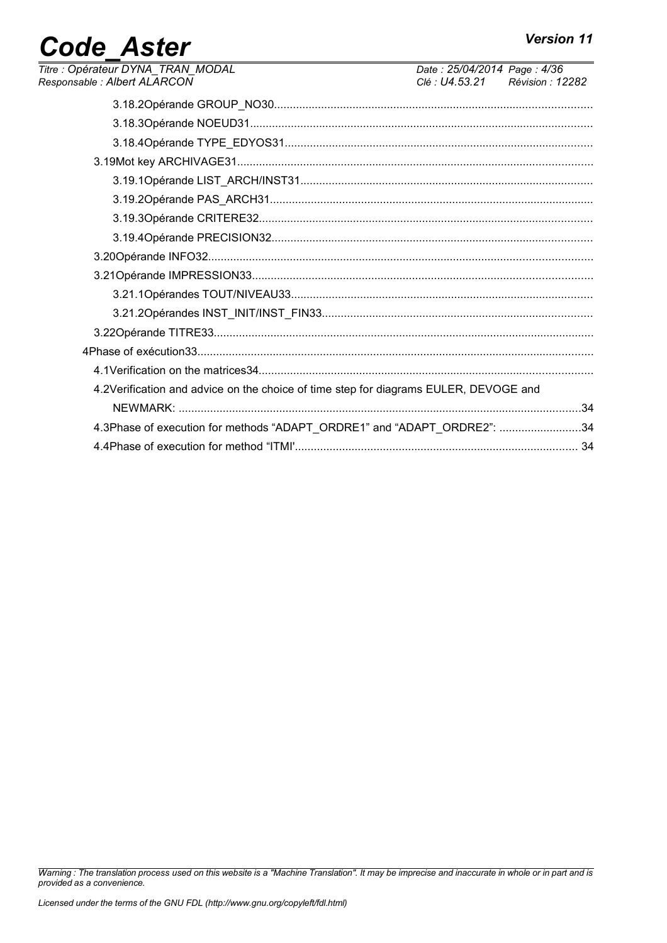### **Code Aster**  $\frac{1}{\text{Time}}$

| Titre : Opérateur DYNA_TRAN_MODAL<br>Responsable : Albert ALARCON                    | Date: 25/04/2014 Page: 4/36<br>Clé : U4.53.21 Révision : 12282 |  |
|--------------------------------------------------------------------------------------|----------------------------------------------------------------|--|
|                                                                                      |                                                                |  |
|                                                                                      |                                                                |  |
|                                                                                      |                                                                |  |
|                                                                                      |                                                                |  |
|                                                                                      |                                                                |  |
|                                                                                      |                                                                |  |
|                                                                                      |                                                                |  |
|                                                                                      |                                                                |  |
|                                                                                      |                                                                |  |
|                                                                                      |                                                                |  |
|                                                                                      |                                                                |  |
|                                                                                      |                                                                |  |
|                                                                                      |                                                                |  |
|                                                                                      |                                                                |  |
|                                                                                      |                                                                |  |
| 4.2Verification and advice on the choice of time step for diagrams EULER, DEVOGE and |                                                                |  |
|                                                                                      |                                                                |  |
| 4.3Phase of execution for methods "ADAPT_ORDRE1" and "ADAPT_ORDRE2": 34              |                                                                |  |
|                                                                                      |                                                                |  |
|                                                                                      |                                                                |  |

Warning : The translation process used on this website is a "Machine Translation". It may be imprecise and inaccurate in whole or in part and is<br>provided as a convenience.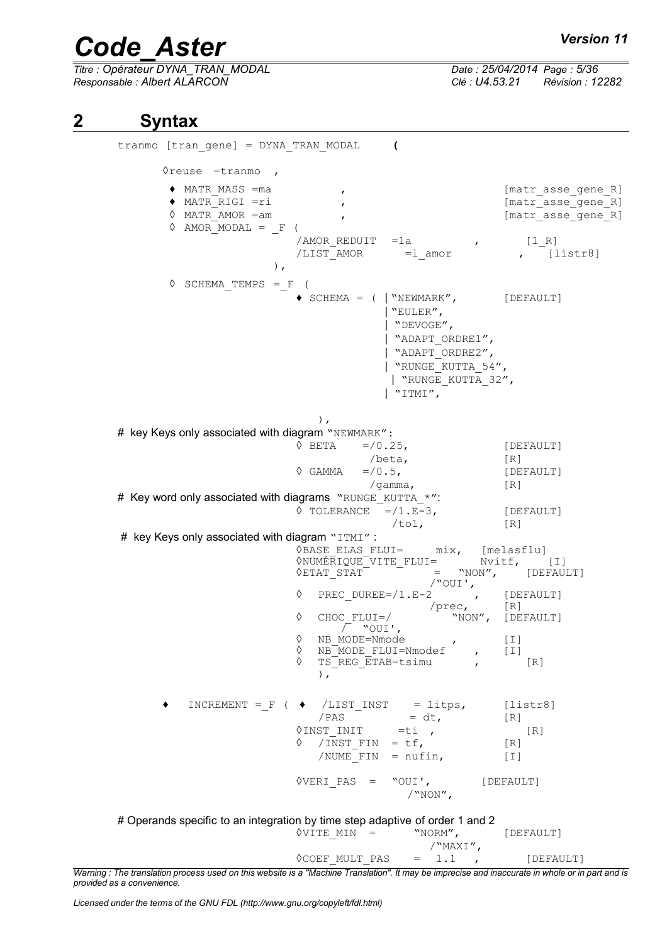*Titre : Opérateur DYNA\_TRAN\_MODAL Date : 25/04/2014 Page : 5/36 Responsable : Albert ALARCON Clé : U4.53.21 Révision : 12282*

### **2 Syntax**

tranmo [tran\_gene] = DYNA\_TRAN\_MODAL **(**  $\Diamond$ reuse =tranmo, ♦ MATR\_MASS =ma , [matr\_asse\_gene\_R] ♦ MATR\_RIGI =ri , [matr\_asse\_gene\_R] [matr asse gene R]  $\Diamond$  AMOR $MODAL = F$  (  $\text{/AMOR}$  REDUIT = la , [1\_R]<br>  $\text{/LIST AMOR}$  = l amor , [1 /LIST\_AMOR =l\_amor , [listr8] ),  $\Diamond$  SCHEMA\_TEMPS = F ( ♦ SCHEMA = ( | "NEWMARK", [DEFAULT] | "EULER", | "DEVOGE", | "ADAPT\_ORDRE1", | "ADAPT\_ORDRE2", | "RUNGE\_KUTTA\_54", | "RUNGE\_KUTTA\_32", | "ITMI", ), # key Keys only associated with diagram "NEWMARK":  $\sqrt{DEFAULT}$  =/0.25, [DEFAULT]  $/\text{beta}$ ,  $[R]$  $\Diamond$  GAMMA =  $/0.5$ , [DEFAULT] /gamma, [R] # Key word only associated with diagrams "RUNGE\_KUTTA \*":  $\sqrt{C}$  TOLERANCE =/1.E-3, [DEFAULT]  $/tol,$  [R] # key Keys only associated with diagram "ITMI": ayranı المسافرة .<br>♦BASE\_ELAS\_FLUI= mix, [melasflu]<br>^שטער האיבה TIE\_FLUI= Nvitf, [I] ◊NUMÉRIQUE\_VITE\_FLUI= Nvitf, [I]  $\Diamond$ ETAT STAT = "NON", [DEFAULT] /"OUI', ◊ PREC\_DUREE=/1.E-2 , [DEFAULT] /prec, [R] ◊ CHOC\_FLUI=/ "NON", [DEFAULT] CHOC\_FLUI=/<br>
/ "OUI',<br>
NB\_MODE=Nmode ↑ NB MODE=Nmode , [I] ◊ NB\_MODE\_FLUI=Nmodef , [I]  $\sqrt{R}$  TS REG ETAB=tsimu , [R]  $\,$ ,  $\,$ ,  $\,$ ,  $\,$ ,  $\,$ ,  $\,$ ,  $\,$ ,  $\,$ ,  $\,$ ,  $\,$ ,  $\,$ ,  $\,$ ,  $\,$ ,  $\,$ ,  $\,$ ,  $\,$ ,  $\,$ ,  $\,$ ,  $\,$ ,  $\,$ ,  $\,$ ,  $\,$ ,  $\,$ ,  $\,$ ,  $\,$ ,  $\,$ ,  $\,$ ,  $\,$ ,  $\,$ ,  $\,$ ,  $\,$ ,  $\,$ ,  $\,$ ,  $\,$ ,  $\,$ ,  $\,$ ,  $\,$ ,  $INCREMENT = F$  (  $\blacklozenge$  /LIST INST = litps, [listr8]  $/PAS$  = dt,  $[R]$  $\Diamond$ INST INIT =ti , [R]  $\sqrt{NST FIN} = tf,$  [R]  $/$ NUME $\overline{F}$ IN = nufin, [I] ◊VERI\_PAS = "OUI', [DEFAULT] /"NON", # Operands specific to an integration by time step adaptive of order 1 and 2  $\sqrt{VITE}$  MIN = "NORM", [DEFAULT]  $/$ "MAXI",<br>= 1.1,

 $\Diamond$ COEF MULT PAS = 1.1 , [DEFAULT] *Warning : The translation process used on this website is a "Machine Translation". It may be imprecise and inaccurate in whole or in part and is provided as a convenience.*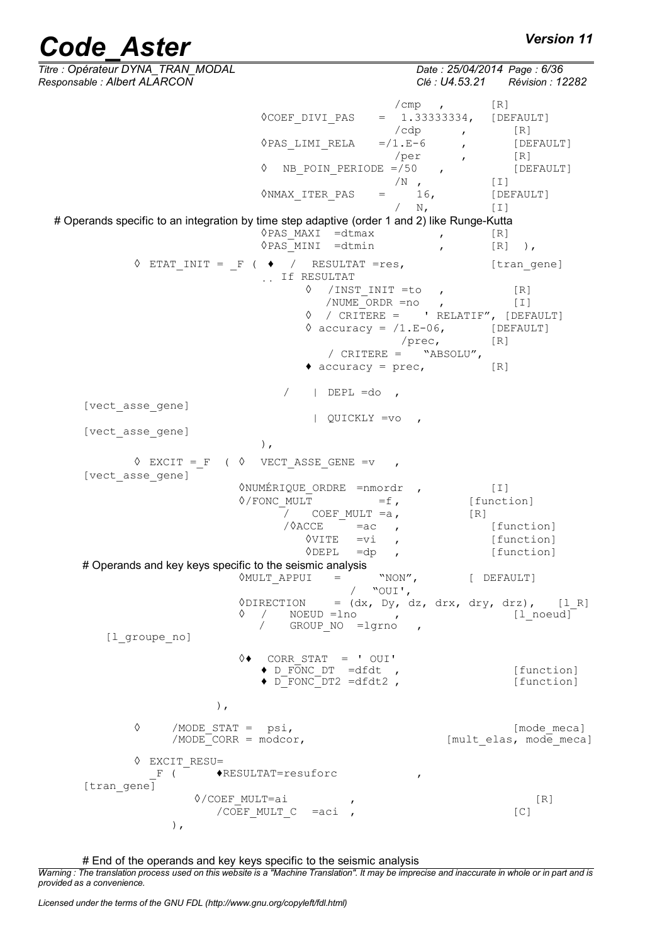*Titre : Opérateur DYNA\_TRAN\_MODAL Date : 25/04/2014 Page : 6/36 Responsable : Albert ALARCON Clé : U4.53.21 Révision : 12282*  $/cmp$  ,  $[R]$  $\Diamond$ COEF DIVI PAS = 1.33333334, [DEFAULT]  $/\text{cdp}$  ,  $[R]$  $\Diamond$ PAS LIMI RELA =/1.E-6 , [DEFAULT] /per , [R]  $\Diamond$  NB POIN PERIODE =/50 , [DEFAULT]  $/N$ ,  $[I]$ <br>16,  $[DEFAULT]$  $\Diamond$ NMAX ITER PAS =  $16$ , [DE<br>
/ N, [I] # Operands specific to an integration by time step adaptive (order 1 and 2) like Runge-Kutta ◊PAS\_MAXI =dtmax , [R] ◊PAS\_MINI =dtmin , [R] ),  $\Diamond$  ETAT\_INIT =  $_F$  (  $\blacklozenge$  / RESULTAT =res, [tran gene] If RESULTAT ◊ /INST\_INIT =to , [R] /NUME<sup>T</sup>ORDR =no , [I]  $\Diamond$  / CRITERE = ' RELATIF", [DEFAULT]  $\Diamond$  accuracy =  $/1.E$ -06, [DEFAULT] /prec, [R] / CRITERE =  $"ABSOLU",$  $\triangleleft$  accuracy = prec,  $[R]$  $/$  | DEPL =do , [vect\_asse\_gene] | QUICKLY =vo , [vect\_asse\_gene] ),  $\Diamond$  EXCIT = F (  $\Diamond$  VECT ASSE GENE =v [vect\_asse\_gene] **◊NUMÉRIQUE\_ORDRE =nmordr** , [I]<br>◊/FONC MULT =f, [function]  $\sqrt[6]{\text{FONC}}$  MULT  $=f$ ,  $\frac{1}{2}$  COEF\_MULT =a,  $\frac{1}{2}$  [R] /◊ACCE =ac , [function] ◊VITE =vi , [function] ◊DEPL =dp , [function] # Operands and key keys specific to the seismic analysis  $\Diamond$ MULT APPUI = "NON", [ DEFAULT] / "OUI',  $\Diamond$ DIRECTION = (dx, Dy, dz, drx, dry, drz), [l\_R]  $\sqrt{2}$  / NOEUD =lno , [l noeud] GROUP NO =lgrno , [l groupe no] ◊♦ CORR\_STAT = ' OUI' ♦ D\_FONC\_DT =dfdt , [function]  $\bullet$   $\overline{D}$  FONC $\overline{D}$   $\overline{T}$  2 =dfdt2 ,  $\overline{F}$  [function] ), ◊ /MODE\_STAT = psi, [mode\_meca] [mult elas, mode meca] ◊ EXCIT\_RESU=  $_F$  (  $\overline{\phantom{a}}$   $\rightarrow$  RESULTAT=resuforc [tran gene]  $\Diamond$ /COEF MULT=ai , [R]  $/COEF$  MULT  $C = aci$  , [C] ),

# End of the operands and key keys specific to the seismic analysis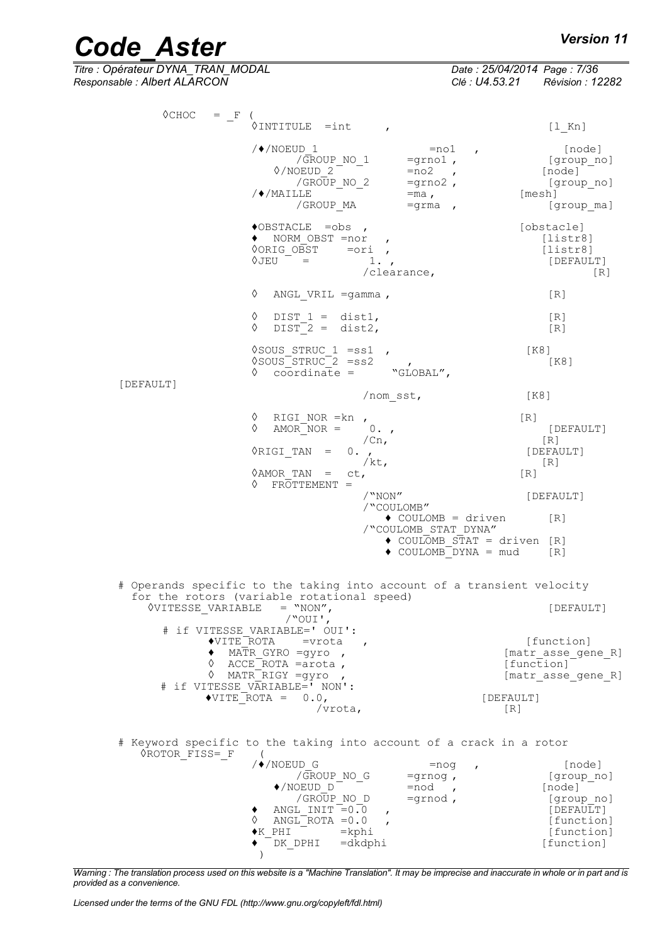# *Code\_Aster Version 11*<br> *Titre* : Opérateur DYNA TRAN MODAL Date : 25/04/2014 Page : 7/36

*Titre : Opérateur DYNA\_TRAN\_MODAL Date : 25/04/2014 Page : 7/36 Responsable : Albert ALARCON Clé : U4.53.21 Révision : 12282*

| $\Diamond$ CHOC<br>$=$ F | $\Diamond$ INTITULE =int                                                                                     |                                                                                                                | $\lfloor \perp$ Kn                                                   |
|--------------------------|--------------------------------------------------------------------------------------------------------------|----------------------------------------------------------------------------------------------------------------|----------------------------------------------------------------------|
|                          | $/$ $\sqrt{*}$ /NOEUD 1<br>/GROUP NO 1<br>$\Diamond$ /NOEUD 2<br>/GROUP NO 2<br>/♦/MAILLE<br>/GROUP MA       | $=$ no $1$<br>$\mathbf{r}$<br>$=$ grno $1$ ,<br>$=no2$<br>$\overline{ }$<br>$=$ grno2,<br>$=$ ma,<br>$=$ grma, | [node]<br>[group no]<br>[node]<br>[group no]<br>[mesh]<br>[group ma] |
|                          | $\lozenge$ OBSTACLE =obs,<br>NORM OBST =nor<br><b>OORIG OBST</b><br>$\Diamond$ JEU $=$                       | $\mathbf{r}$<br>$=$ ori<br>1.,<br>/clearance,                                                                  | [obstacle]<br>[liststr8]<br>[liststr8]<br>[DEFAULT]<br>[R]           |
|                          | ♦<br>ANGL VRIL $=$ gamma,                                                                                    |                                                                                                                | $\lceil R \rceil$                                                    |
|                          | ♦<br>DIST $1 = \text{dist1}$ ,<br>♦<br>$DIST-2 = dist2,$                                                     |                                                                                                                | [R]<br>[R]                                                           |
|                          | $\sqrt{2}$ SOUS STRUC 1 = ss1,<br>$\degree$ SOUS <sup>-STRUC<sup>-2</sup> = ss2</sup><br>$coordinate =$<br>♦ | $\mathbf{r}$<br>"GLOBAL",                                                                                      | $K8$ ]<br>[K8]                                                       |
| [DEFAULT]                |                                                                                                              | /nom sst,                                                                                                      | [K8]                                                                 |
|                          | ♦<br>RIGI NOR $=$ kn,<br>♦<br>$AMOR'NOR =$                                                                   | $0.$ ,<br>/cn <sub>r</sub>                                                                                     | [R]<br>[DEFAULT]<br>$\lfloor R \rfloor$                              |
|                          | ◊RIGI TAN<br>$=$                                                                                             | $0.$ ,<br>/ $kt,$                                                                                              | [DEFAULT]<br>[R]                                                     |
|                          | <b>OAMOR TAN</b><br>$=$<br>$FROTTEMENT =$                                                                    | ct,                                                                                                            | [R]                                                                  |
|                          |                                                                                                              | $/$ "NON"<br>/"COULOMB"                                                                                        | [DEFAULT]                                                            |
|                          |                                                                                                              | $\bullet$ COULOMB = driven<br>/"COULOMB STAT DYNA"                                                             | [R]                                                                  |
|                          |                                                                                                              | $\triangle$ COULOMB STAT = driven [R]<br>$\bullet$ COULOMB DYNA = mud                                          | [R]                                                                  |
|                          |                                                                                                              | # Operands specific to the taking into account of a transient velocity                                         |                                                                      |
| <b>OVITESSE VARIABLE</b> | for the rotors (variable rotational speed)<br>$=$ "NON",                                                     |                                                                                                                | [DEFAULT]                                                            |
|                          | $/$ "OUI',<br># if VITESSE VARIABLE=' OUI':                                                                  |                                                                                                                |                                                                      |
| ◆VITE ROTA               | =vrota<br>MATR GYRO = $q\gamma$ ro,<br>$\Diamond$ ACCE ROTA = arota,                                         |                                                                                                                | [function]<br>[matr_asse_gene_R]<br>[function]                       |
|                          | $\Diamond$ MATR RIGY = gyro,<br># if VITESSE VARIABLE=' NON':                                                |                                                                                                                | [matr asse_gene_R]                                                   |
|                          | $\blacklozenge$ VITE ROTA = 0.0,<br>/vrota,                                                                  |                                                                                                                | [DEFAULT]<br>[R]                                                     |
|                          |                                                                                                              | # Keyword specific to the taking into account of a crack in a rotor                                            |                                                                      |
| OROTOR FISS= F           | $\overline{ }$<br>$/$ $\sqrt{*}$ / NOEUD G                                                                   | $=$ nog<br>$\mathbf{r}$                                                                                        | [node]                                                               |
|                          | /GROUP NO G<br>$\blacklozenge$ /NOEUD D                                                                      | $=$ grnog,<br>$=$ nod,                                                                                         | [group no]<br>[node]                                                 |
|                          | /GROUP NO D<br>ANGL INIT $=0.0$<br>٠                                                                         | $=$ grnod,<br>$\mathbf{r}$                                                                                     | [group no]<br>[DEFAULT]                                              |
|                          | ANGL ROTA $=0.0$<br>♦<br>$\blacklozenge$ K PHI                                                               | $=$ kphi                                                                                                       | [function]<br>[function]                                             |
|                          | DK DPHI                                                                                                      | $=$ dkdphi                                                                                                     | [function]                                                           |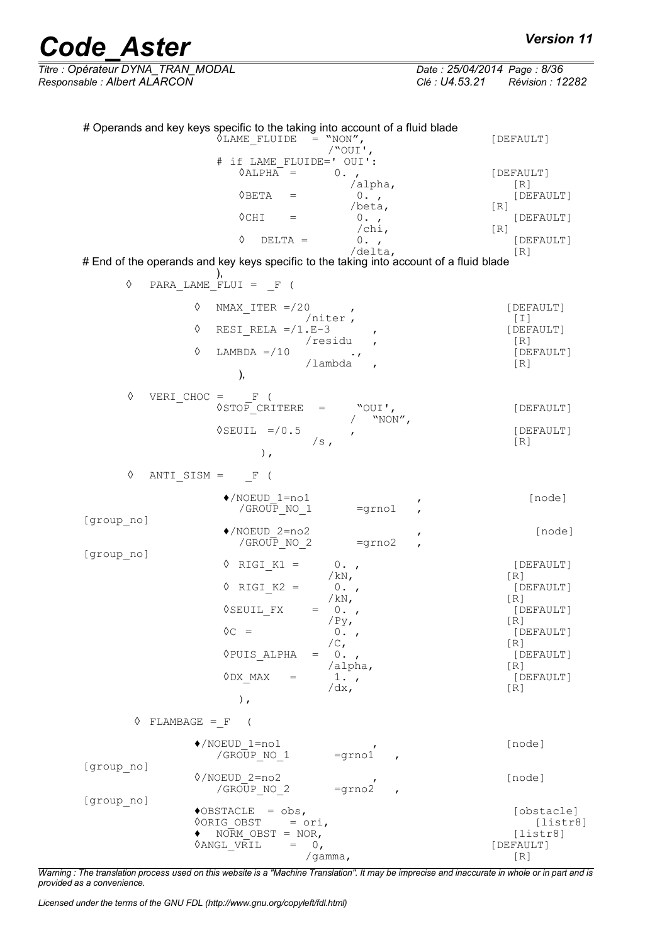# *Code\_Aster Version 11*<br>Titre : Opérateur DYNA TRAN MODAL Date : 25/04/2014 Page : 8/36

*Titre : Opérateur DYNA\_TRAN\_MODAL Date : 25/04/2014 Page : 8/36 Responsable : Albert ALARCON Clé : U4.53.21 Révision : 12282*

|            | # Operands and key keys specific to the taking into account of a fluid blade<br><b><i>OLAME FLUIDE</i></b><br>$=$ "NON",                                                                                                               | [DEFAULT]                                                                           |
|------------|----------------------------------------------------------------------------------------------------------------------------------------------------------------------------------------------------------------------------------------|-------------------------------------------------------------------------------------|
|            | /"OUI',<br># if LAME FLUIDE=' OUI':<br>$\Diamond$ ALPHA =<br>$0.$ ,<br>/alpha,<br>$\Diamond$ BETA<br>0.7<br>$=$<br>/beta,<br>$\Diamond$ CHI<br>0.7<br>$\hspace{1.6cm} = \hspace{1.6cm}$<br>$/\text{chi}$ ,<br>♦<br>$DELTA =$<br>$0.$ , | [DEFAULT]<br>[R]<br>[DEFAULT]<br>[R]<br>[DEFAULT]<br>$\lceil R \rceil$<br>[DEFAULT] |
|            | /delta,<br># End of the operands and key keys specific to the taking into account of a fluid blade                                                                                                                                     | [R]                                                                                 |
| $\Diamond$ | PARA LAME FLUI = $F($                                                                                                                                                                                                                  |                                                                                     |
|            | ♦<br>NMAX ITER $=$ /20<br>$\mathbf{r}$                                                                                                                                                                                                 | [DEFAULT]                                                                           |
|            | /niter,<br>♦<br>RESI RELA $= / 1$ .E-3<br>/residu                                                                                                                                                                                      | $[1]$<br>[DEFAULT]                                                                  |
|            | ♦<br>LAMBDA $=$ /10<br>$\cdot$ ,<br>/lambda<br>),                                                                                                                                                                                      | [R]<br>[DEFAULT]<br>[R]                                                             |
| ♦          | VERI CHOC = $F($                                                                                                                                                                                                                       |                                                                                     |
|            | <b>OSTOP CRITERE</b><br>"OUI',<br>$=$<br>"NON",                                                                                                                                                                                        | [DEFAULT]                                                                           |
|            | $\Diamond$ SEUIL = / 0.5<br>$\mathbf{r}$<br>/s <sub>1</sub>                                                                                                                                                                            | [DEFAULT]<br>[R]                                                                    |
| $\Diamond$ | $)$ ,<br>ANTI SISM = $F($                                                                                                                                                                                                              |                                                                                     |
|            | $\blacklozenge$ /NOEUD 1=no1                                                                                                                                                                                                           | [node]                                                                              |
| [group no] | /GROUP NO 1<br>$=$ grno $1$                                                                                                                                                                                                            |                                                                                     |
|            | $\sqrt{\text{NOEUD}}$ 2=no2<br>/GROUP NO 2<br>$=$ grno $2$                                                                                                                                                                             | [node]                                                                              |
| [group no] | $\Diamond$ RIGI K1 =<br>$0.$ ,                                                                                                                                                                                                         | [DEFAULT]                                                                           |
|            | /kN,<br>$RIGI K2 =$<br>♦<br>$0.$ ,                                                                                                                                                                                                     | [R]<br>[DEFAULT]                                                                    |
|            | /kN,<br>◊SEUIL FX<br>$0.$ ,<br>$=$ $\qquad$                                                                                                                                                                                            | [R]<br>[DEFAULT]                                                                    |
|            | /Py <sub>r</sub><br>$\Diamond C =$<br>$0.$ ,                                                                                                                                                                                           | [R]<br>[DEFAULT]                                                                    |
|            | $/C_{I}$<br>◊PUIS ALPHA<br>0.7<br>$=$ $\,$                                                                                                                                                                                             | [R]<br>[DEFAULT]                                                                    |
|            | /alpha,<br>$\lozenge$ DX MAX<br>$1.$ ,<br>$=$                                                                                                                                                                                          | [R]<br>[DEFAULT]                                                                    |
|            | $/dx$ ,<br>),                                                                                                                                                                                                                          | [R]                                                                                 |
|            | $\Diamond$ FLAMBAGE = F (                                                                                                                                                                                                              |                                                                                     |
|            | $\blacklozenge$ /NOEUD 1=no1<br>$=$ grno $1$<br>/GROUP NO 1                                                                                                                                                                            | [node]                                                                              |
| [group no] | $\sqrt{NOEUD}$ 2=no2<br>$=$ grno $2$<br>/GROUP NO 2                                                                                                                                                                                    | [node]                                                                              |
| [group no] | $\triangle$ OBSTACLE = obs,                                                                                                                                                                                                            | [obstacle]                                                                          |
|            | <b>OORIG OBST</b><br>$=$ ori,<br>NORM OBST = $NOR$ ,<br><b><i>OANGL VRIL</i></b><br>$=$<br>0,                                                                                                                                          | [liststr8]<br>[liststr8]<br>[DEFAULT]                                               |
|            | /gamma,                                                                                                                                                                                                                                | [R]                                                                                 |

*Warning : The translation process used on this website is a "Machine Translation". It may be imprecise and inaccurate in whole or in part and is provided as a convenience.*

*Licensed under the terms of the GNU FDL (http://www.gnu.org/copyleft/fdl.html)*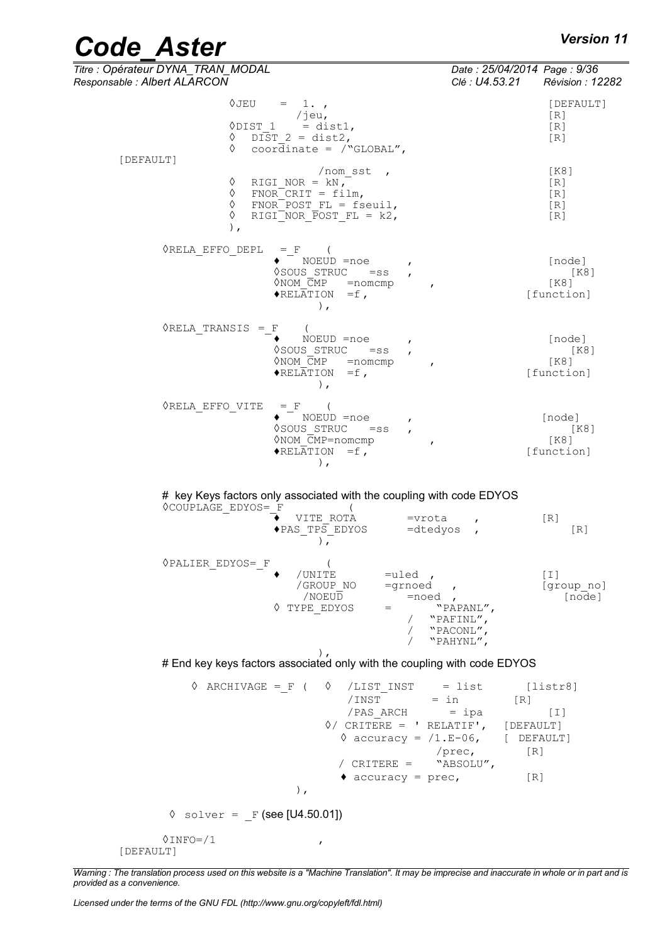| <b>Code Aster</b> | <b>Version 11</b> |
|-------------------|-------------------|
|-------------------|-------------------|

| Titre : Opérateur DYNA_TRAN_MODAL<br>Responsable : Albert ALARCON                                                                                                                                                                                                 | Date: 25/04/2014 Page: 9/36<br>Clé : U4.53.21                      | <b>Révision : 12282</b>                |
|-------------------------------------------------------------------------------------------------------------------------------------------------------------------------------------------------------------------------------------------------------------------|--------------------------------------------------------------------|----------------------------------------|
| ◊JEU<br>$= 1.$<br>/jeu,<br>$\Diamond$ DIST 1 = dist1,<br>$\lozenge$ DIST 2 = dist2,<br>$\Diamond$ coordinate = /"GLOBAL",                                                                                                                                         |                                                                    | [DEFAULT]<br>[R]<br>[R]<br>[R]         |
| [DEFAULT]<br>/ nom sst<br>♦<br>RIGI NOR = $kN$ ,<br>♦<br>$FNOR-CRIT = film,$<br>♦<br>$FNOR-POST FL = fseuil,$<br>♦<br>RIGI NOR POST FL = $k2$ ,<br>$\,$ ,                                                                                                         |                                                                    | [K8]<br>[R]<br>[R]<br>[R]<br>[R]       |
| $\Diamond$ RELA EFFO DEPL = F (<br>$\bullet$ $\overline{\phantom{a}}$ NOEUD =noe<br>VSOUS STRUC =ss<br>$\Diamond$ NOM $\overline{C}MP$ = nomcmp<br>$\boldsymbol{r}$<br>$\blacklozenge$ RELATION = f,<br>$\,$ ,                                                    |                                                                    | [node]<br>[K8]<br>$K8$ ]<br>[function] |
| $\Diamond$ RELA TRANSIS = F<br>$\left($<br>NOEUD =noe<br>◊SOUS STRUC<br>$=$ ss<br>$\Diamond$ NOM $\overline{C}MP$ = nomcmp<br>$\mathbf{r}$<br>$\blacklozenge$ RELATION = f,<br>$\,$ ,                                                                             |                                                                    | [node]<br>[K8]<br>[K8]<br>[function]   |
| ◊RELA EFFO VITE<br>$=$ F (<br>$\bullet$ $\overline{\phantom{a}}$ NOEUD =noe<br>VSOUS STRUC =ss<br>ONOM CMP=nomcmp<br>$\blacklozenge$ RELATION = f,<br>$\,$ ,                                                                                                      |                                                                    | [node]<br>[K8]<br>[K8]<br>[function]   |
| # key Keys factors only associated with the coupling with code EDYOS<br><b>OCOUPLAGE EDYOS= F</b><br>$=$ vrota<br>VITE ROTA<br>$\triangle$ PAS TPS EDYOS = dtedyos,<br>$\rightarrow$                                                                              | $\mathbf{r}$                                                       | [R]<br>[R]                             |
| $\texttt{\char'134} \verb'PALIER_EDYOS={_F}$<br>/UNITE<br>$=$ uled,<br>/GROUP NO<br>=grnoed<br>/NOEUD<br>$=$ noed,<br>♦ TYPE EDYOS<br>$=$ $-$                                                                                                                     | $\mathbf{r}$<br>"PAPANL",<br>/ "PAFINL",<br>"PACONL",<br>"PAHYNL", | [T]<br>[group no]<br>[node]            |
| $\lambda$<br># End key keys factors associated only with the coupling with code EDYOS                                                                                                                                                                             |                                                                    |                                        |
| $\Diamond$ ARCHIVAGE = F (<br>$\Diamond$ /LIST INST = list<br>$/$ INST = in<br>/PAS ARCH = ipa<br>$\Diamond$ / CRITERE = ' RELATIF', [DEFAULT]<br>$\Diamond$ accuracy = $/1.E-06$ , [ DEFAULT]<br>/ $CRITERE =$ "ABSOLU",<br>$\bullet$ accuracy = prec,<br>$\,$ , | [R]<br>/prec,<br>[R]<br>[R]                                        | [liststr8]<br>$[1]$                    |
| $\Diamond$ solver = F (see [U4.50.01])                                                                                                                                                                                                                            |                                                                    |                                        |
| $0$ INFO= $/1$<br>$\pmb{r}$<br>[DEFAULT]                                                                                                                                                                                                                          |                                                                    |                                        |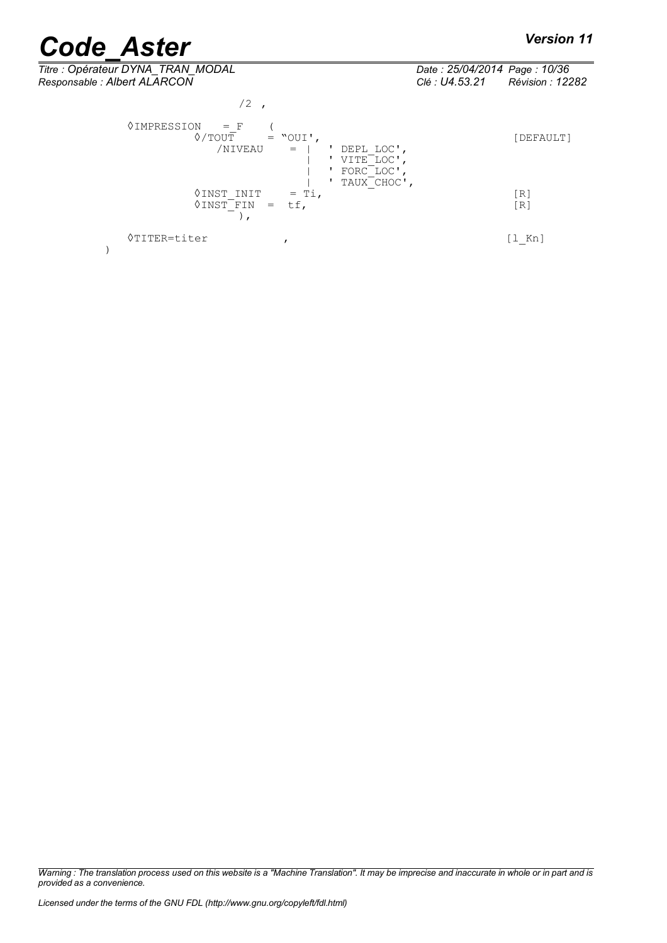$\left( \right)$ ,

◊TITER=titer , [l\_Kn]

| Titre : Opérateur DYNA_TRAN_MODAL<br>Responsable : Albert ALARCON                                                                                       | Date: 25/04/2014 Page: 10/36<br>Clé : U4.53.21 | Révision : 12282 |
|---------------------------------------------------------------------------------------------------------------------------------------------------------|------------------------------------------------|------------------|
| 12 <sup>2</sup>                                                                                                                                         |                                                |                  |
| 0IMPRESSION<br>$=$ F<br>$\Diamond$ / $\Box$ $\Box$ $\Box$<br>$=$ "OUI',<br>/NIVEAU<br>DEPL LOC',<br>$=$ $\Box$<br>VITE LOC'<br>FORC LOC'<br>TAUX CHOC', |                                                | [DEFAULT]        |
| ≬INST INIT<br>$=$ Ti,<br>◊INST FIN<br>$=$                                                                                                               |                                                | 「R1<br>「R」       |

)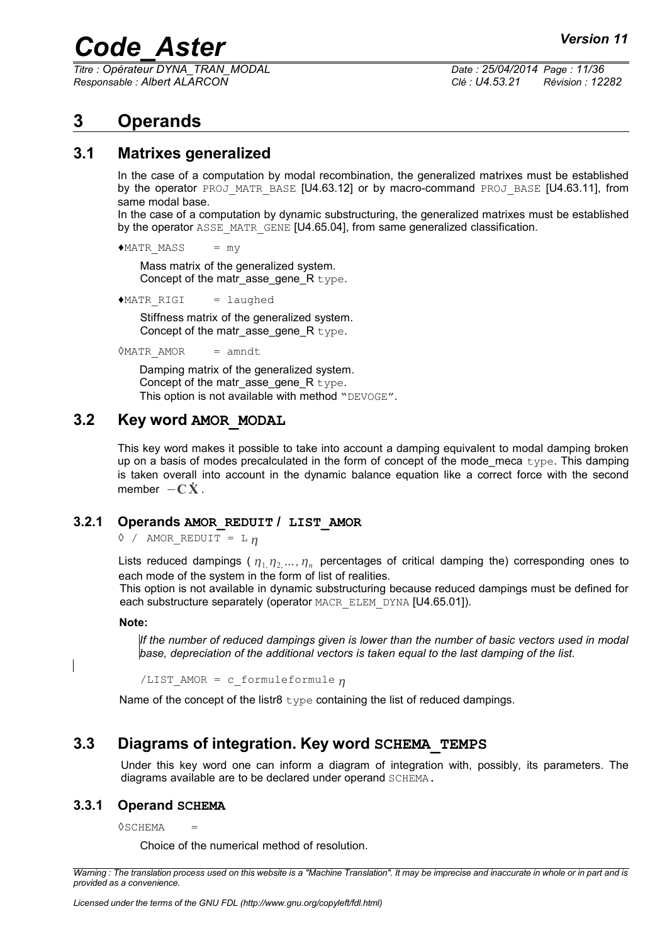*Titre : Opérateur DYNA\_TRAN\_MODAL Date : 25/04/2014 Page : 11/36 Responsable : Albert ALARCON Clé : U4.53.21 Révision : 12282*

### **3 Operands**

#### **3.1 Matrixes generalized**

In the case of a computation by modal recombination, the generalized matrixes must be established by the operator PROJ\_MATR\_BASE [U4.63.12] or by macro-command PROJ\_BASE [U4.63.11], from same modal base.

In the case of a computation by dynamic substructuring, the generalized matrixes must be established by the operator ASSE\_MATR\_GENE [U4.65.04], from same generalized classification.

 $*$ MATR MASS = my

Mass matrix of the generalized system. Concept of the matrasse gene  $R$  type.

♦MATR\_RIGI = laughed

Stiffness matrix of the generalized system. Concept of the matrasse gene  $R$  type.

◊MATR\_AMOR = amndt

Damping matrix of the generalized system. Concept of the matr asse gene  $R$  type. This option is not available with method "DEVOGE".

#### **3.2 Key word AMOR\_MODAL**

This key word makes it possible to take into account a damping equivalent to modal damping broken up on a basis of modes precalculated in the form of concept of the mode meca  $type$ . This damping is taken overall into account in the dynamic balance equation like a correct force with the second member  $-\mathbf{C}\mathbf{X}$ .

#### **3.2.1 Operands AMOR\_REDUIT / LIST\_AMOR**

 $\Diamond$  / AMOR REDUIT = L n

Lists reduced dampings ( $\eta_1 \eta_2 \ldots \eta_n$  percentages of critical damping the) corresponding ones to each mode of the system in the form of list of realities.

This option is not available in dynamic substructuring because reduced dampings must be defined for each substructure separately (operator MACR\_ELEM\_DYNA [U4.65.01]).

#### **Note:**

*If the number of reduced dampings given is lower than the number of basic vectors used in modal base, depreciation of the additional vectors is taken equal to the last damping of the list.*

/LIST AMOR = c formuleformule  $n$ 

Name of the concept of the listr8  $type$  containing the list of reduced dampings.

### **3.3 Diagrams of integration. Key word SCHEMA\_TEMPS**

Under this key word one can inform a diagram of integration with, possibly, its parameters. The diagrams available are to be declared under operand SCHEMA.

#### **3.3.1 Operand SCHEMA**

◊SCHEMA =

Choice of the numerical method of resolution.

*Warning : The translation process used on this website is a "Machine Translation". It may be imprecise and inaccurate in whole or in part and is provided as a convenience.*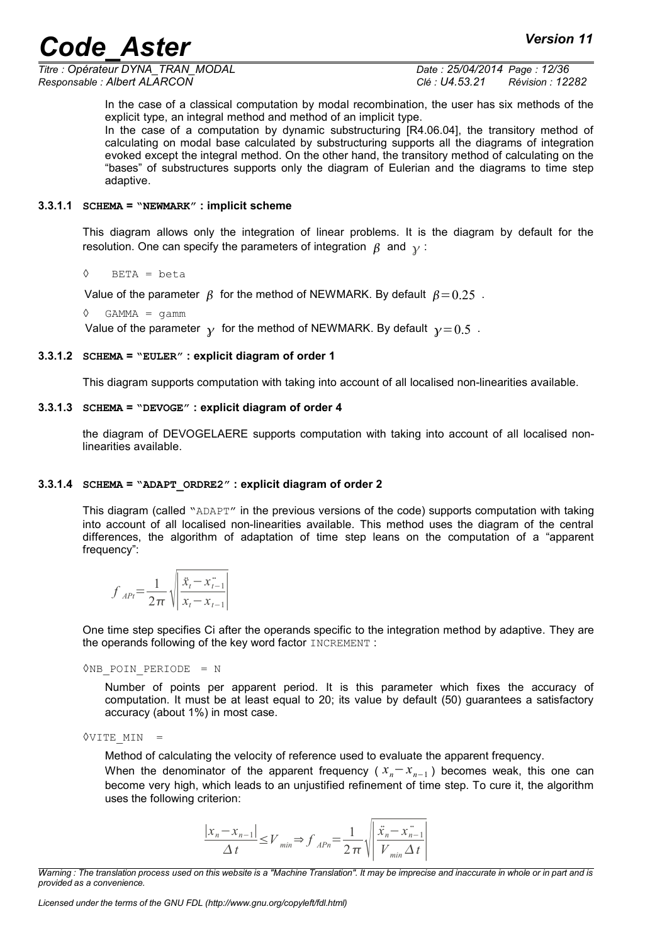*Titre : Opérateur DYNA\_TRAN\_MODAL Date : 25/04/2014 Page : 12/36 Responsable : Albert ALARCON Clé : U4.53.21 Révision : 12282*

In the case of a classical computation by modal recombination, the user has six methods of the explicit type, an integral method and method of an implicit type.

In the case of a computation by dynamic substructuring [R4.06.04], the transitory method of calculating on modal base calculated by substructuring supports all the diagrams of integration evoked except the integral method. On the other hand, the transitory method of calculating on the "bases" of substructures supports only the diagram of Eulerian and the diagrams to time step adaptive.

#### **3.3.1.1 SCHEMA = "NEWMARK" : implicit scheme**

This diagram allows only the integration of linear problems. It is the diagram by default for the resolution. One can specify the parameters of integration  $\beta$  and  $\gamma$ :

◊ BETA = beta

Value of the parameter  $\beta$  for the method of NEWMARK. By default  $\beta = 0.25$ .

 $\Diamond$  GAMMA = gamm

Value of the parameter  $\gamma$  for the method of NEWMARK. By default  $\gamma = 0.5$ .

#### **3.3.1.2 SCHEMA = "EULER" : explicit diagram of order 1**

This diagram supports computation with taking into account of all localised non-linearities available.

#### **3.3.1.3 SCHEMA = "DEVOGE" : explicit diagram of order 4**

the diagram of DEVOGELAERE supports computation with taking into account of all localised nonlinearities available.

#### **3.3.1.4 SCHEMA = "ADAPT\_ORDRE2" : explicit diagram of order 2**

This diagram (called "ADAPT" in the previous versions of the code) supports computation with taking into account of all localised non-linearities available. This method uses the diagram of the central differences, the algorithm of adaptation of time step leans on the computation of a "apparent frequency":

$$
f_{APt} = \frac{1}{2\pi} \sqrt{\left| \frac{\ddot{x}_t - \ddot{x}_{t-1}}{x_t - x_{t-1}} \right|}
$$

One time step specifies Ci after the operands specific to the integration method by adaptive. They are the operands following of the key word factor INCREMENT :

◊NB\_POIN\_PERIODE = N

Number of points per apparent period. It is this parameter which fixes the accuracy of computation. It must be at least equal to 20; its value by default (50) guarantees a satisfactory accuracy (about 1%) in most case.

 $&VITE$  MIN =

Method of calculating the velocity of reference used to evaluate the apparent frequency.

When the denominator of the apparent frequency ( *xn*−*x<sup>n</sup>*−<sup>1</sup> ) becomes weak, this one can become very high, which leads to an unjustified refinement of time step. To cure it, the algorithm uses the following criterion:

$$
\frac{|x_n - x_{n-1}|}{\Delta t} \le V_{min} \Rightarrow f_{APn} = \frac{1}{2\pi} \sqrt{\left| \frac{\ddot{x}_n - \ddot{x}_{n-1}}{V_{min} \Delta t} \right|}
$$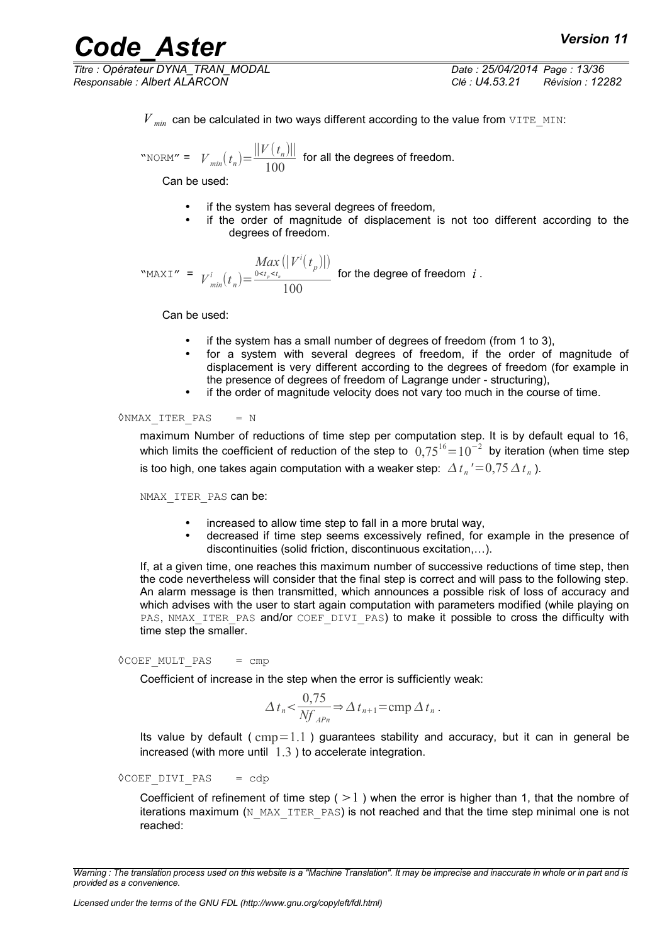*Titre : Opérateur DYNA\_TRAN\_MODAL Date : 25/04/2014 Page : 13/36 Responsable : Albert ALARCON Clé : U4.53.21 Révision : 12282*

 $V_{min}$  can be calculated in two ways different according to the value from  $VITE$  MIN:

"NORM" =  $V_{min}(t_n)$  =  $||V(t_n)||$  $\frac{(v_n/||}{100})$  for all the degrees of freedom.

Can be used:

- if the system has several degrees of freedom.
- if the order of magnitude of displacement is not too different according to the degrees of freedom.

"MAXI" =  $V^i_{min}(t_n)$  = *Max*  $0 < t_p < t_n$  $(|V^{i}(t_{p})|)$ 100 for the degree of freedom *i* .

Can be used:

- if the system has a small number of degrees of freedom (from 1 to 3),
- for a system with several degrees of freedom, if the order of magnitude of displacement is very different according to the degrees of freedom (for example in the presence of degrees of freedom of Lagrange under - structuring),
- if the order of magnitude velocity does not vary too much in the course of time.

◊NMAX\_ITER\_PAS = N

maximum Number of reductions of time step per computation step. It is by default equal to 16, which limits the coefficient of reduction of the step to  $\ 0,75^{16}{=}10^{-2} \,$  by iteration (when time step is too high, one takes again computation with a weaker step:  $\varDelta\,t_{_n}{'}\!=\!0,\!75\,\varDelta\,t_{_n}$  ).

NMAX ITER PAS can be:

- increased to allow time step to fall in a more brutal way,
- decreased if time step seems excessively refined, for example in the presence of discontinuities (solid friction, discontinuous excitation,…).

If, at a given time, one reaches this maximum number of successive reductions of time step, then the code nevertheless will consider that the final step is correct and will pass to the following step. An alarm message is then transmitted, which announces a possible risk of loss of accuracy and which advises with the user to start again computation with parameters modified (while playing on PAS, NMAX ITER PAS and/or COEF DIVI PAS) to make it possible to cross the difficulty with time step the smaller.

 $\Diamond$ COEF MULT PAS = cmp

Coefficient of increase in the step when the error is sufficiently weak:

$$
\Delta t_n < \frac{0.75}{Nf_{APn}} \Rightarrow \Delta t_{n+1} = \text{cmp } \Delta t_n \,.
$$

Its value by default ( $cmp=1.1$ ) guarantees stability and accuracy, but it can in general be increased (with more until  $1.3$ ) to accelerate integration.

 $\Diamond$ COEF DIVI PAS = cdp

Coefficient of refinement of time step ( $>1$ ) when the error is higher than 1, that the nombre of iterations maximum ( $N$  MAX ITER PAS) is not reached and that the time step minimal one is not reached:

*Warning : The translation process used on this website is a "Machine Translation". It may be imprecise and inaccurate in whole or in part and is provided as a convenience.*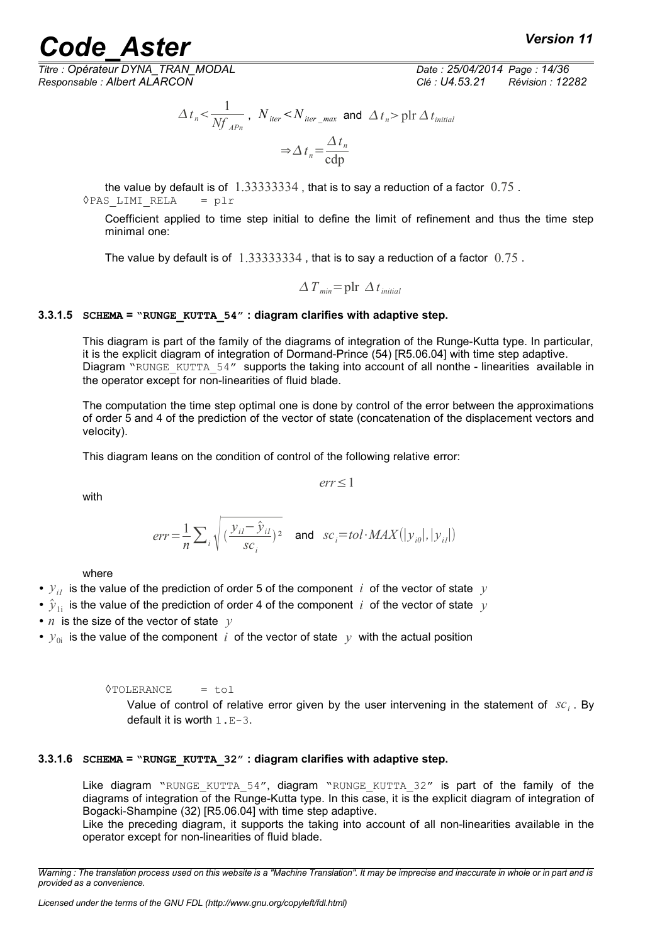*Titre : Opérateur DYNA\_TRAN\_MODAL Date : 25/04/2014 Page : 14/36*

*Responsable : Albert ALARCON Clé : U4.53.21 Révision : 12282*

$$
\Delta t_n < \frac{1}{Nf_{APn}}, \quad N_{iter} < N_{iter\_max} \text{ and } \Delta t_n > \text{plr } \Delta t_{initial}
$$
\n
$$
\Rightarrow \Delta t_n = \frac{\Delta t_n}{\text{cdp}}
$$

the value by default is of  $1.33333334$ , that is to say a reduction of a factor  $0.75$ . ◊PAS\_LIMI\_RELA = plr

Coefficient applied to time step initial to define the limit of refinement and thus the time step minimal one:

The value by default is of  $1.33333334$ , that is to say a reduction of a factor  $0.75$ .

$$
\Delta T_{min} = \text{plr } \Delta t_{initial}
$$

#### **3.3.1.5 SCHEMA = "RUNGE\_KUTTA\_54" : diagram clarifies with adaptive step.**

This diagram is part of the family of the diagrams of integration of the Runge-Kutta type. In particular, it is the explicit diagram of integration of Dormand-Prince (54) [R5.06.04] with time step adaptive. Diagram "RUNGE KUTTA 54" supports the taking into account of all nonthe - linearities available in the operator except for non-linearities of fluid blade.

The computation the time step optimal one is done by control of the error between the approximations of order 5 and 4 of the prediction of the vector of state (concatenation of the displacement vectors and velocity).

*err*≤1

This diagram leans on the condition of control of the following relative error:

with

$$
err = \frac{1}{n} \sum_{i} \sqrt{(\frac{y_{i1} - \hat{y}_{i1}}{sc_i})^2}
$$
 and  $sc_i = tol \cdot MAX(|y_{i0}|, |y_{i1}|)$ 

where

- $y_{ij}$  is the value of the prediction of order 5 of the component *i* of the vector of state *y*
- $\hat{y}_{1i}$  is the value of the prediction of order 4 of the component *i* of the vector of state  $y$
- *n* is the size of the vector of state *y*
- $y_{0i}$  is the value of the component *i* of the vector of state *y* with the actual position

 $\Diamond$ TOLERANCE = tol

Value of control of relative error given by the user intervening in the statement of *sc<sup>i</sup>* . By default it is worth  $1.E-3$ .

#### **3.3.1.6 SCHEMA = "RUNGE\_KUTTA\_32" : diagram clarifies with adaptive step.**

Like diagram "RUNGE KUTTA 54", diagram "RUNGE KUTTA 32" is part of the family of the diagrams of integration of the Runge-Kutta type. In this case, it is the explicit diagram of integration of Bogacki-Shampine (32) [R5.06.04] with time step adaptive.

Like the preceding diagram, it supports the taking into account of all non-linearities available in the operator except for non-linearities of fluid blade.

*Warning : The translation process used on this website is a "Machine Translation". It may be imprecise and inaccurate in whole or in part and is provided as a convenience.*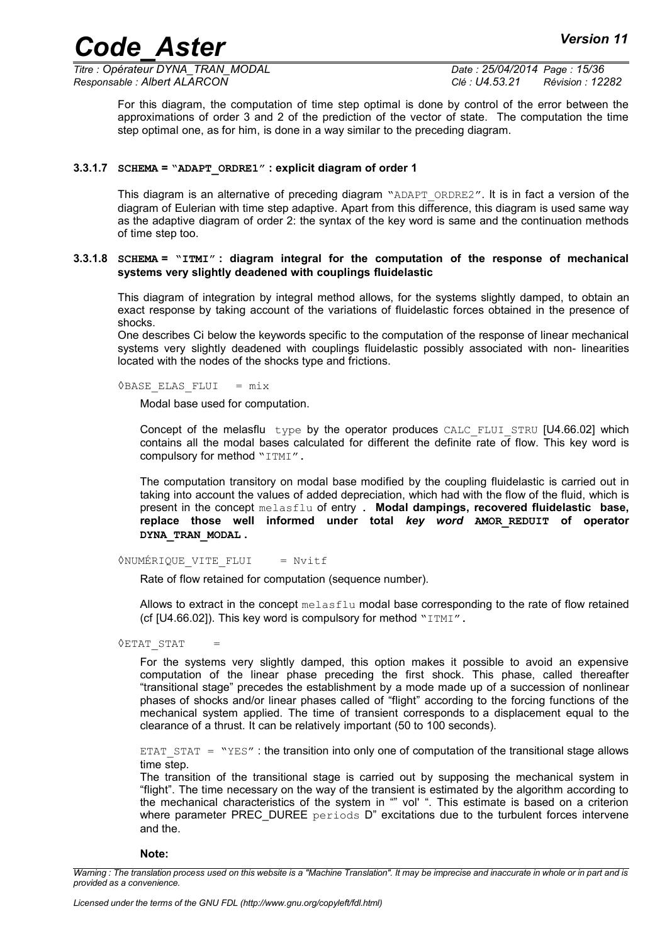*Titre : Opérateur DYNA\_TRAN\_MODAL Date : 25/04/2014 Page : 15/36 Responsable : Albert ALARCON Clé : U4.53.21 Révision : 12282*

For this diagram, the computation of time step optimal is done by control of the error between the approximations of order 3 and 2 of the prediction of the vector of state. The computation the time step optimal one, as for him, is done in a way similar to the preceding diagram.

#### **3.3.1.7 SCHEMA = "ADAPT\_ORDRE1" : explicit diagram of order 1**

This diagram is an alternative of preceding diagram "ADAPT\_ORDRE2". It is in fact a version of the diagram of Eulerian with time step adaptive. Apart from this difference, this diagram is used same way as the adaptive diagram of order 2: the syntax of the key word is same and the continuation methods of time step too.

#### **3.3.1.8 SCHEMA = "ITMI" : diagram integral for the computation of the response of mechanical systems very slightly deadened with couplings fluidelastic**

This diagram of integration by integral method allows, for the systems slightly damped, to obtain an exact response by taking account of the variations of fluidelastic forces obtained in the presence of shocks.

One describes Ci below the keywords specific to the computation of the response of linear mechanical systems very slightly deadened with couplings fluidelastic possibly associated with non- linearities located with the nodes of the shocks type and frictions.

◊BASE\_ELAS\_FLUI = mix

Modal base used for computation.

Concept of the melasflu type by the operator produces CALC FLUI STRU [U4.66.02] which contains all the modal bases calculated for different the definite rate of flow. This key word is compulsory for method "ITMI".

The computation transitory on modal base modified by the coupling fluidelastic is carried out in taking into account the values of added depreciation, which had with the flow of the fluid, which is present in the concept melasflu of entry . **Modal dampings, recovered fluidelastic base, replace those well informed under total** *key word* **AMOR\_REDUIT of operator DYNA\_TRAN\_MODAL .**

*NUMÉRIQUE VITE FLUI = Nvitf* 

Rate of flow retained for computation (sequence number).

Allows to extract in the concept melasflu modal base corresponding to the rate of flow retained (cf [U4.66.02]). This key word is compulsory for method "ITMI".

**OETAT STAT** 

For the systems very slightly damped, this option makes it possible to avoid an expensive computation of the linear phase preceding the first shock. This phase, called thereafter "transitional stage" precedes the establishment by a mode made up of a succession of nonlinear phases of shocks and/or linear phases called of "flight" according to the forcing functions of the mechanical system applied. The time of transient corresponds to a displacement equal to the clearance of a thrust. It can be relatively important (50 to 100 seconds).

ETAT  $SIT = "YES"$ : the transition into only one of computation of the transitional stage allows time step.

The transition of the transitional stage is carried out by supposing the mechanical system in "flight". The time necessary on the way of the transient is estimated by the algorithm according to the mechanical characteristics of the system in "" vol' ". This estimate is based on a criterion where parameter PREC DUREE periods  $D^{\prime\prime}$  excitations due to the turbulent forces intervene and the.

**Note:**

*Warning : The translation process used on this website is a "Machine Translation". It may be imprecise and inaccurate in whole or in part and is provided as a convenience.*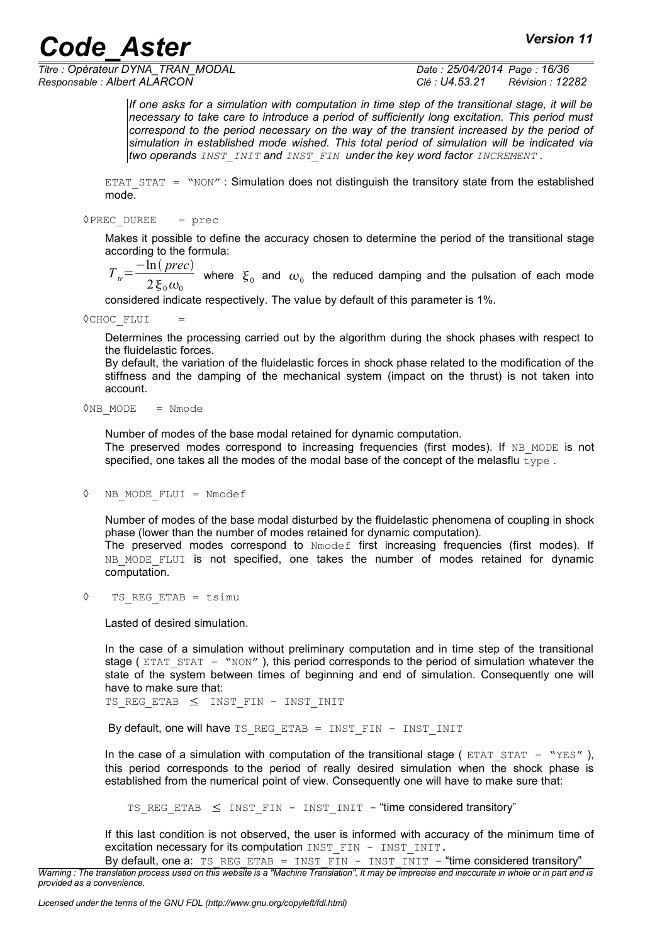*Titre : Opérateur DYNA\_TRAN\_MODAL Date : 25/04/2014 Page : 16/36 Responsable : Albert ALARCON Clé : U4.53.21 Révision : 12282*

*If one asks for a simulation with computation in time step of the transitional stage, it will be necessary to take care to introduce a period of sufficiently long excitation. This period must correspond to the period necessary on the way of the transient increased by the period of simulation in established mode wished. This total period of simulation will be indicated via two operands INST\_INIT and INST\_FIN under the key word factor INCREMENT .*

ETAT  $STAT = "NON"$ : Simulation does not distinguish the transitory state from the established mode.

#### $\Diamond$ PREC DUREE = prec

Makes it possible to define the accuracy chosen to determine the period of the transitional stage according to the formula:

 $T_{tr} = \frac{-\ln(prec)}{2\pi}$  $2\xi_0\omega_0$ where  $\xi_0$  and  $\omega_0$  the reduced damping and the pulsation of each mode

considered indicate respectively. The value by default of this parameter is 1%.

◊CHOC\_FLUI =

Determines the processing carried out by the algorithm during the shock phases with respect to the fluidelastic forces.

By default, the variation of the fluidelastic forces in shock phase related to the modification of the stiffness and the damping of the mechanical system (impact on the thrust) is not taken into account.

 $\Diamond$ NB MODE = Nmode

Number of modes of the base modal retained for dynamic computation. The preserved modes correspond to increasing frequencies (first modes). If NB\_MODE is not specified, one takes all the modes of the modal base of the concept of the melasflu  $_{\text{type}}$ .

```
◊ NB_MODE_FLUI = Nmodef
```
Number of modes of the base modal disturbed by the fluidelastic phenomena of coupling in shock phase (lower than the number of modes retained for dynamic computation).

The preserved modes correspond to Nmodef first increasing frequencies (first modes). If NB MODE FLUI is not specified, one takes the number of modes retained for dynamic computation.

◊ TS\_REG\_ETAB = tsimu

Lasted of desired simulation.

In the case of a simulation without preliminary computation and in time step of the transitional stage ( $ETATST = "NON"$ ), this period corresponds to the period of simulation whatever the state of the system between times of beginning and end of simulation. Consequently one will have to make sure that:

TS REG ETAB  $\leq$  INST FIN - INST INIT

By default, one will have TS\_REG\_ETAB = INST\_FIN - INST\_INIT

In the case of a simulation with computation of the transitional stage ( $ETAT = "YES"$  ). this period corresponds to the period of really desired simulation when the shock phase is established from the numerical point of view. Consequently one will have to make sure that:

TS REG ETAB  $\leq$  INST FIN - INST INIT - "time considered transitory"

If this last condition is not observed, the user is informed with accuracy of the minimum time of excitation necessary for its computation INST\_FIN - INST\_INIT.

By default, one a: TS\_REG\_ETAB = INST\_FIN - INST\_INIT - "time considered transitory" *Warning : The translation process used on this website is a "Machine Translation". It may be imprecise and inaccurate in whole or in part and is provided as a convenience.*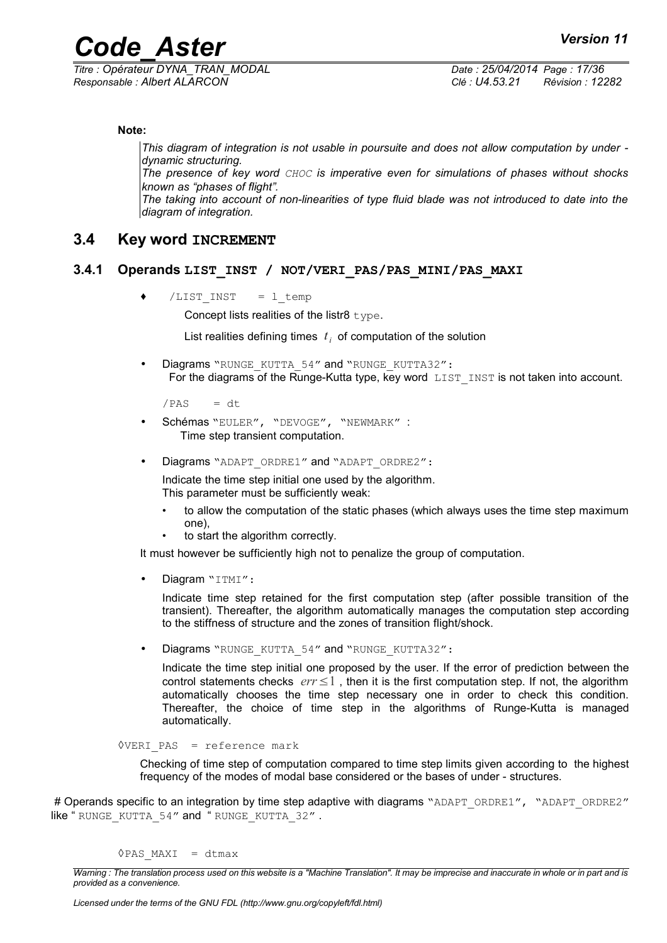*Titre : Opérateur DYNA\_TRAN\_MODAL Date : 25/04/2014 Page : 17/36 Responsable : Albert ALARCON Clé : U4.53.21 Révision : 12282*

**Note:**

*This diagram of integration is not usable in poursuite and does not allow computation by under dynamic structuring.*

*The presence of key word CHOC is imperative even for simulations of phases without shocks known as "phases of flight".*

*The taking into account of non-linearities of type fluid blade was not introduced to date into the diagram of integration.*

#### **3.4 Key word INCREMENT**

#### **3.4.1 Operands LIST\_INST / NOT/VERI\_PAS/PAS\_MINI/PAS\_MAXI**

 $/LIST$  INST = 1 temp

Concept lists realities of the listr8 type.

List realities defining times  $|t_i|$  of computation of the solution

Diagrams "RUNGE\_KUTTA\_54" and "RUNGE\_KUTTA32": For the diagrams of the Runge-Kutta type, key word LIST INST is not taken into account.

 $/PAS$  = dt

- Schémas "EULER", "DEVOGE", "NEWMARK" : Time step transient computation.
- Diagrams "ADAPT\_ORDRE1" and "ADAPT\_ORDRE2":

Indicate the time step initial one used by the algorithm. This parameter must be sufficiently weak:

- to allow the computation of the static phases (which always uses the time step maximum one),
- to start the algorithm correctly.

It must however be sufficiently high not to penalize the group of computation.

Diagram "ITMI":

Indicate time step retained for the first computation step (after possible transition of the transient). Thereafter, the algorithm automatically manages the computation step according to the stiffness of structure and the zones of transition flight/shock.

Diagrams "RUNGE\_KUTTA\_54" and "RUNGE\_KUTTA32":

Indicate the time step initial one proposed by the user. If the error of prediction between the control statements checks  $err \leq 1$ , then it is the first computation step. If not, the algorithm automatically chooses the time step necessary one in order to check this condition. Thereafter, the choice of time step in the algorithms of Runge-Kutta is managed automatically.

```
◊VERI_PAS = reference mark
```
Checking of time step of computation compared to time step limits given according to the highest frequency of the modes of modal base considered or the bases of under - structures.

# Operands specific to an integration by time step adaptive with diagrams "ADAPT\_ORDRE1", "ADAPT\_ORDRE2" like "RUNGE KUTTA 54" and " RUNGE KUTTA 32" .

 $\Diamond$ PAS MAXI = dtmax

*Warning : The translation process used on this website is a "Machine Translation". It may be imprecise and inaccurate in whole or in part and is provided as a convenience.*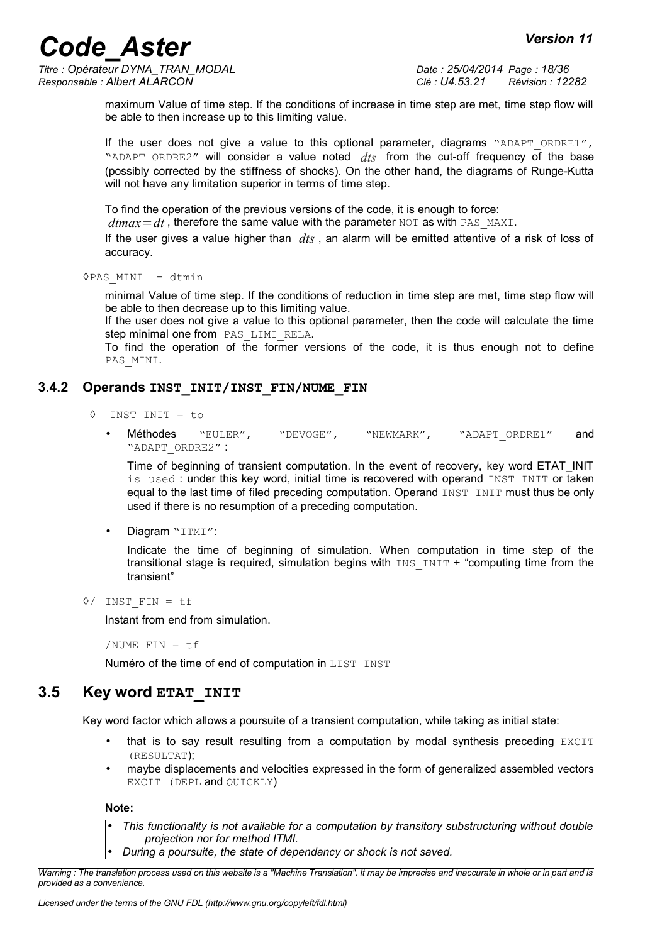*Titre : Opérateur DYNA\_TRAN\_MODAL Date : 25/04/2014 Page : 18/36 Responsable : Albert ALARCON Clé : U4.53.21 Révision : 12282*

maximum Value of time step. If the conditions of increase in time step are met, time step flow will be able to then increase up to this limiting value.

If the user does not give a value to this optional parameter, diagrams "ADAPT ORDRE1", "ADAPT ORDRE2" will consider a value noted *dts* from the cut-off frequency of the base (possibly corrected by the stiffness of shocks). On the other hand, the diagrams of Runge-Kutta will not have any limitation superior in terms of time step.

To find the operation of the previous versions of the code, it is enough to force:

 $dmax = dt$ , therefore the same value with the parameter NOT as with PAS\_MAXI.

If the user gives a value higher than *dts* , an alarm will be emitted attentive of a risk of loss of accuracy.

 $\Diamond$ PAS MINI = dtmin

minimal Value of time step. If the conditions of reduction in time step are met, time step flow will be able to then decrease up to this limiting value.

If the user does not give a value to this optional parameter, then the code will calculate the time step minimal one from PAS LIMI RELA.

To find the operation of the former versions of the code, it is thus enough not to define PAS\_MINI.

#### **3.4.2 Operands INST\_INIT/INST\_FIN/NUME\_FIN**

- ◊ INST\_INIT = to
	- Méthodes "EULER", "DEVOGE", "NEWMARK", "ADAPT\_ORDRE1" and "ADAPT\_ORDRE2" :

Time of beginning of transient computation. In the event of recovery, key word ETAT\_INIT is used : under this key word, initial time is recovered with operand INST\_INIT or taken equal to the last time of filed preceding computation. Operand INST INIT must thus be only used if there is no resumption of a preceding computation.

Diagram "ITMI":

Indicate the time of beginning of simulation. When computation in time step of the transitional stage is required, simulation begins with  $IMS$   $INT +$  "computing time from the transient"

◊/ INST\_FIN = tf

Instant from end from simulation.

/NUME  $FIN = tf$ 

Numéro of the time of end of computation in LIST INST

#### **3.5 Key word ETAT\_INIT**

Key word factor which allows a poursuite of a transient computation, while taking as initial state:

- that is to say result resulting from a computation by modal synthesis preceding EXCIT (RESULTAT);
- maybe displacements and velocities expressed in the form of generalized assembled vectors EXCIT (DEPL and QUICKLY)

**Note:**

- *This functionality is not available for a computation by transitory substructuring without double projection nor for method ITMI.*
- *During a poursuite, the state of dependancy or shock is not saved.*

*Warning : The translation process used on this website is a "Machine Translation". It may be imprecise and inaccurate in whole or in part and is provided as a convenience.*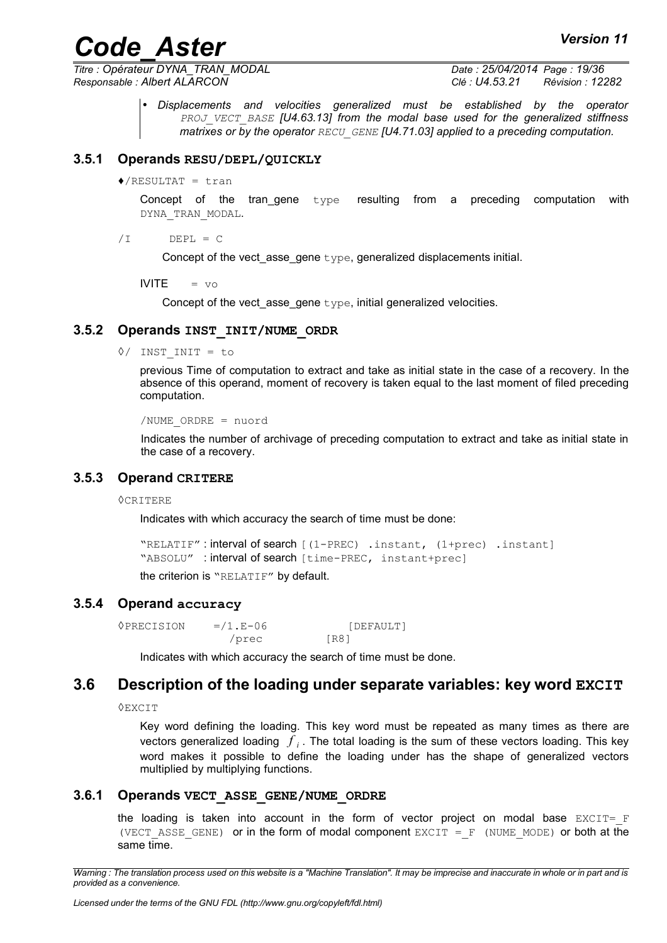*Titre : Opérateur DYNA\_TRAN\_MODAL Date : 25/04/2014 Page : 19/36 Responsable : Albert ALARCON Clé : U4.53.21 Révision : 12282*

• *Displacements and velocities generalized must be established by the operator PROJ\_VECT\_BASE [U4.63.13] from the modal base used for the generalized stiffness matrixes or by the operator RECU\_GENE [U4.71.03] applied to a preceding computation.*

#### **3.5.1 Operands RESU/DEPL/QUICKLY**

 $\triangle$ /RESULTAT = tran

Concept of the tran\_gene type resulting from a preceding computation with DYNA\_TRAN\_MODAL.

 $/I$  DEPL = C

Concept of the vect asse gene type, generalized displacements initial.

 $IVITE = v \circ$ 

Concept of the vect\_asse\_gene type, initial generalized velocities.

#### **3.5.2 Operands INST\_INIT/NUME\_ORDR**

◊/ INST\_INIT = to

previous Time of computation to extract and take as initial state in the case of a recovery. In the absence of this operand, moment of recovery is taken equal to the last moment of filed preceding computation.

```
/NUME_ORDRE = nuord
```
Indicates the number of archivage of preceding computation to extract and take as initial state in the case of a recovery.

#### **3.5.3 Operand CRITERE**

◊CRITERE

Indicates with which accuracy the search of time must be done:

```
"RELATIF" : interval of search [(1-PREC) .instant, (1+prec) .instant]
"ABSOLU" : interval of search [time-PREC, instant+prec]
the criterion is "RELATIF" by default.
```
#### **3.5.4 Operand accuracy**

| <b>OPRECISION</b> | $= 1.5 - 0.6$ | [DEFAULT] |  |
|-------------------|---------------|-----------|--|
|                   | /prec         | [R8]      |  |

Indicates with which accuracy the search of time must be done.

### **3.6 Description of the loading under separate variables: key word EXCIT**

◊EXCIT

Key word defining the loading. This key word must be repeated as many times as there are vectors generalized loading  $\left\vert f\right\rangle _{i}$ . The total loading is the sum of these vectors loading. This key word makes it possible to define the loading under has the shape of generalized vectors multiplied by multiplying functions.

#### **3.6.1 Operands VECT\_ASSE\_GENE/NUME\_ORDRE**

the loading is taken into account in the form of vector project on modal base  $EXCIT = F$ (VECT ASSE GENE) or in the form of modal component EXCIT =  $F$  (NUME MODE) or both at the same time.

*Warning : The translation process used on this website is a "Machine Translation". It may be imprecise and inaccurate in whole or in part and is provided as a convenience.*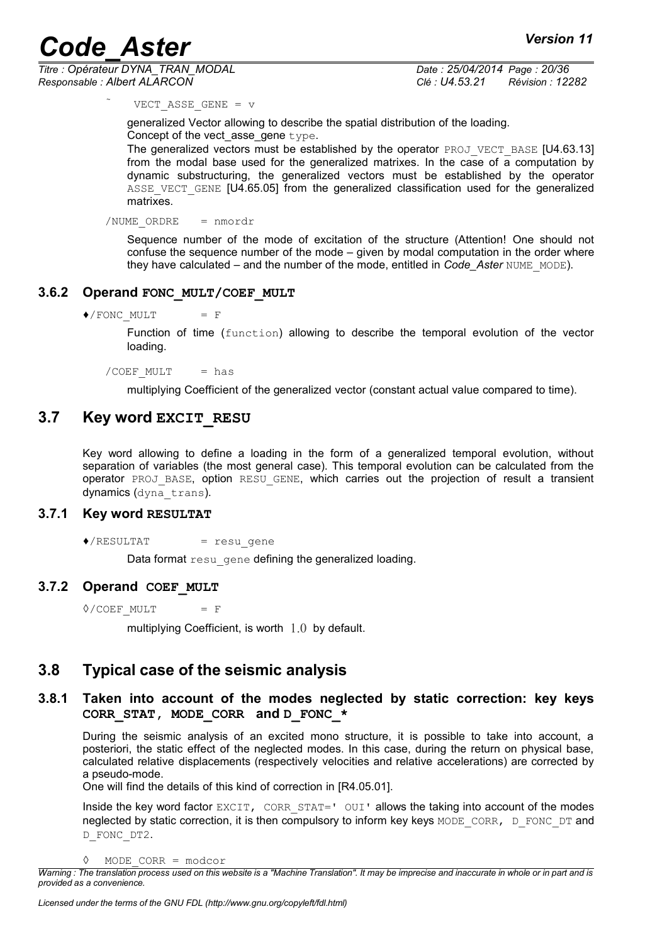*Titre : Opérateur DYNA\_TRAN\_MODAL Date : 25/04/2014 Page : 20/36 Responsable : Albert ALARCON Clé : U4.53.21 Révision : 12282*

VECT ASSE GENE =  $v$ 

generalized Vector allowing to describe the spatial distribution of the loading. Concept of the vect\_asse\_gene type.

The generalized vectors must be established by the operator PROJ\_VECT\_BASE [U4.63.13] from the modal base used for the generalized matrixes. In the case of a computation by dynamic substructuring, the generalized vectors must be established by the operator ASSE VECT GENE [U4.65.05] from the generalized classification used for the generalized matrixes.

/NUME\_ORDRE = nmordr

Sequence number of the mode of excitation of the structure (Attention! One should not confuse the sequence number of the mode – given by modal computation in the order where they have calculated – and the number of the mode, entitled in *Code\_Aster* NUME\_MODE).

#### **3.6.2 Operand FONC\_MULT/COEF\_MULT**

 $\blacklozenge$ /FONC MULT = F

Function of time (function) allowing to describe the temporal evolution of the vector loading.

/COEF  $MULT$  = has

multiplying Coefficient of the generalized vector (constant actual value compared to time).

#### **3.7 Key word EXCIT\_RESU**

Key word allowing to define a loading in the form of a generalized temporal evolution, without separation of variables (the most general case). This temporal evolution can be calculated from the operator PROJ BASE, option RESU GENE, which carries out the projection of result a transient dynamics (dyna trans).

#### **3.7.1 Key word RESULTAT**

 $\triangle$ /RESULTAT = resugene

Data format resu\_gene defining the generalized loading.

#### **3.7.2 Operand COEF\_MULT**

 $\Diamond$ /COEF MULT = F

multiplying Coefficient, is worth 1.0 by default.

#### **3.8 Typical case of the seismic analysis**

#### **3.8.1 Taken into account of the modes neglected by static correction: key keys CORR\_STAT, MODE\_CORR and D\_FONC\_\***

During the seismic analysis of an excited mono structure, it is possible to take into account, a posteriori, the static effect of the neglected modes. In this case, during the return on physical base, calculated relative displacements (respectively velocities and relative accelerations) are corrected by a pseudo-mode.

One will find the details of this kind of correction in [R4.05.01].

Inside the key word factor  $EXCIT$ ,  $CORR$   $STAT='$   $OUT$  allows the taking into account of the modes neglected by static correction, it is then compulsory to inform key keys MODE\_CORR, D\_FONC\_DT and D\_FONC\_DT2.

<sup>◊</sup> MODE\_CORR = modcor

*Warning : The translation process used on this website is a "Machine Translation". It may be imprecise and inaccurate in whole or in part and is provided as a convenience.*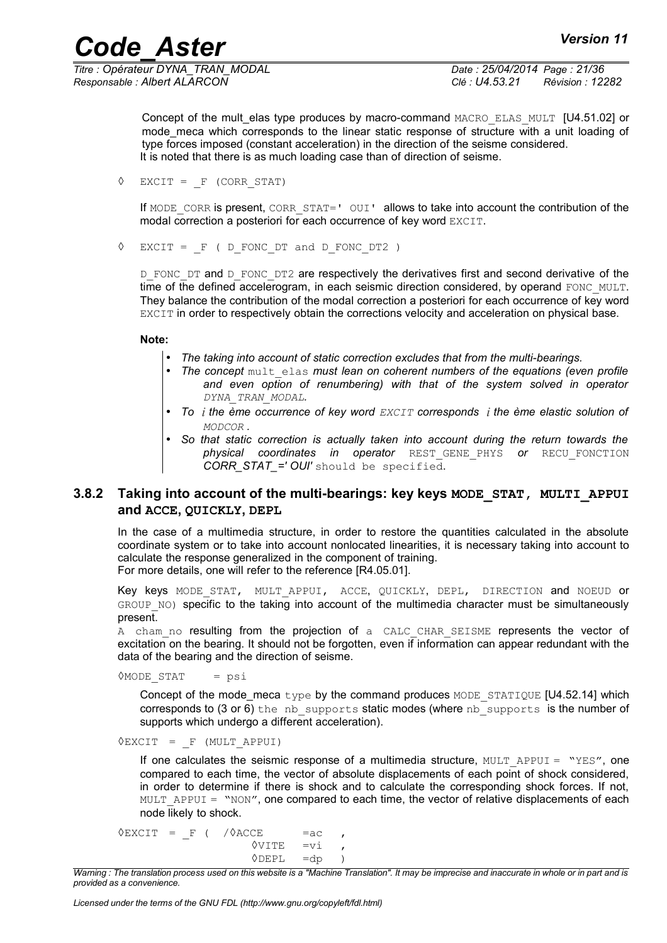*Titre : Opérateur DYNA\_TRAN\_MODAL Date : 25/04/2014 Page : 21/36 Responsable : Albert ALARCON Clé : U4.53.21 Révision : 12282*

Concept of the mult elas type produces by macro-command MACRO\_ELAS\_MULT [U4.51.02] or mode meca which corresponds to the linear static response of structure with a unit loading of type forces imposed (constant acceleration) in the direction of the seisme considered. It is noted that there is as much loading case than of direction of seisme.

 $\Diamond$  EXCIT = F (CORR STAT)

If MODE CORR is present, CORR STAT=' OUI' allows to take into account the contribution of the modal correction a posteriori for each occurrence of key word EXCIT.

 $\Diamond$  EXCIT =  $F$  ( D FONC DT and D FONC DT2 )

D\_FONC\_DT and D\_FONC\_DT2 are respectively the derivatives first and second derivative of the time of the defined accelerogram, in each seismic direction considered, by operand FONC\_MULT. They balance the contribution of the modal correction a posteriori for each occurrence of key word EXCIT in order to respectively obtain the corrections velocity and acceleration on physical base.

#### **Note:**

- *The taking into account of static correction excludes that from the multi-bearings.*
	- *The concept* mult elas *must lean on coherent numbers of the equations (even profile and even option of renumbering) with that of the system solved in operator DYNA\_TRAN\_MODAL.*
- *To i the ème occurrence of key word EXCIT corresponds i the ème elastic solution of MODCOR .*
- *So that static correction is actually taken into account during the return towards the physical coordinates in operator* REST\_GENE\_PHYS *or* RECU\_FONCTION *CORR\_STAT\_=' OUI'* should be specified.

#### **3.8.2 Taking into account of the multi-bearings: key keys MODE STAT, MULTI APPUI and ACCE, QUICKLY, DEPL**

In the case of a multimedia structure, in order to restore the quantities calculated in the absolute coordinate system or to take into account nonlocated linearities, it is necessary taking into account to calculate the response generalized in the component of training. For more details, one will refer to the reference [R4.05.01].

Key keys MODE STAT, MULT APPUI, ACCE, QUICKLY, DEPL, DIRECTION and NOEUD or GROUP NO) specific to the taking into account of the multimedia character must be simultaneously present.

A cham no resulting from the projection of a CALC CHAR SEISME represents the vector of excitation on the bearing. It should not be forgotten, even if information can appear redundant with the data of the bearing and the direction of seisme.

 $\Diamond \text{MODE}$  STAT = psi

Concept of the mode meca type by the command produces MODE STATIQUE  $[U4.52.14]$  which corresponds to  $(3 \text{ or } 6)$  the nb supports static modes (where nb supports is the number of supports which undergo a different acceleration).

 $\Diamond$ EXCIT = F (MULT APPUI)

If one calculates the seismic response of a multimedia structure,  $MULT APPUT = "YES", one$ compared to each time, the vector of absolute displacements of each point of shock considered, in order to determine if there is shock and to calculate the corresponding shock forces. If not, MULT APPUI = "NON", one compared to each time, the vector of relative displacements of each node likely to shock.

 $\Diamond$ EXCIT = F ( / $\Diamond$ ACCE = ac  $\Diamond$ VITE =vi  $\Diamond$ DEPL =dp )

*Warning : The translation process used on this website is a "Machine Translation". It may be imprecise and inaccurate in whole or in part and is provided as a convenience.*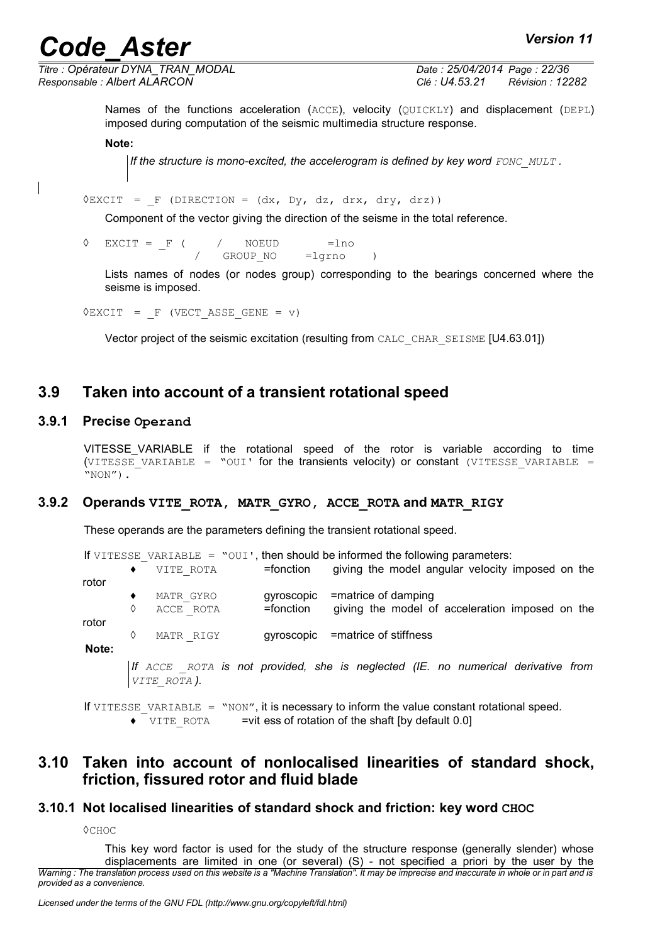*Titre : Opérateur DYNA\_TRAN\_MODAL Date : 25/04/2014 Page : 22/36 Responsable : Albert ALARCON Clé : U4.53.21 Révision : 12282*

Names of the functions acceleration (ACCE), velocity (QUICKLY) and displacement (DEPL) imposed during computation of the seismic multimedia structure response.

#### **Note:**

*If the structure is mono-excited, the accelerogram is defined by key word FONC\_MULT*.

 $\Diamond$ EXCIT = F (DIRECTION = (dx, Dy, dz, drx, dry, drz))

Component of the vector giving the direction of the seisme in the total reference.

 $\Diamond$  EXCIT = F ( / NOEUD =lno GROUP NO =lgrno )

Lists names of nodes (or nodes group) corresponding to the bearings concerned where the seisme is imposed.

 $\Diamond$ EXCIT = F (VECT ASSE GENE = v)

Vector project of the seismic excitation (resulting from CALC\_CHAR\_SEISME [U4.63.01])

#### **3.9 Taken into account of a transient rotational speed**

#### **3.9.1 Precise Operand**

VITESSE\_VARIABLE if the rotational speed of the rotor is variable according to time (VITESSE VARIABLE = "OUI' for the transients velocity) or constant (VITESSE VARIABLE =  $"NON"$ ).

#### **3.9.2 Operands VITE\_ROTA, MATR\_GYRO, ACCE\_ROTA and MATR\_RIGY**

These operands are the parameters defining the transient rotational speed.

|       |   |                                  |            | If VITESSE VARIABLE = $\degree$ OUI', then should be informed the following parameters:          |  |  |
|-------|---|----------------------------------|------------|--------------------------------------------------------------------------------------------------|--|--|
|       | ٠ | VITE ROTA                        | =fonction  | giving the model angular velocity imposed on the                                                 |  |  |
| rotor |   |                                  |            |                                                                                                  |  |  |
|       | ٠ | MATR GYRO                        | gyroscopic | =matrice of damping                                                                              |  |  |
|       | ♦ | ACCE ROTA                        | =fonction  | giving the model of acceleration imposed on the                                                  |  |  |
| rotor |   |                                  |            |                                                                                                  |  |  |
|       | ♦ | MATR RIGY                        |            | gyroscopic = matrice of stiffness                                                                |  |  |
| Note: |   |                                  |            |                                                                                                  |  |  |
|       |   | VITE ROTA).                      |            | If ACCE ROTA is not provided, she is neglected (IE. no numerical derivative from                 |  |  |
|       |   | <u> 10 --------- --- -------</u> |            | incomparing the top operations to the formal than shall be represented to the formal and control |  |  |

If VITESSE VARIABLE =  $\text{``NON''},$  it is necessary to inform the value constant rotational speed.  $\bullet$  VITE ROTA =vit ess of rotation of the shaft [by default 0.0]

#### **3.10 Taken into account of nonlocalised linearities of standard shock, friction, fissured rotor and fluid blade**

#### **3.10.1 Not localised linearities of standard shock and friction: key word CHOC**

◊CHOC

This key word factor is used for the study of the structure response (generally slender) whose displacements are limited in one (or several) (S) - not specified a priori by the user by the *Warning : The translation process used on this website is a "Machine Translation". It may be imprecise and inaccurate in whole or in part and is provided as a convenience.*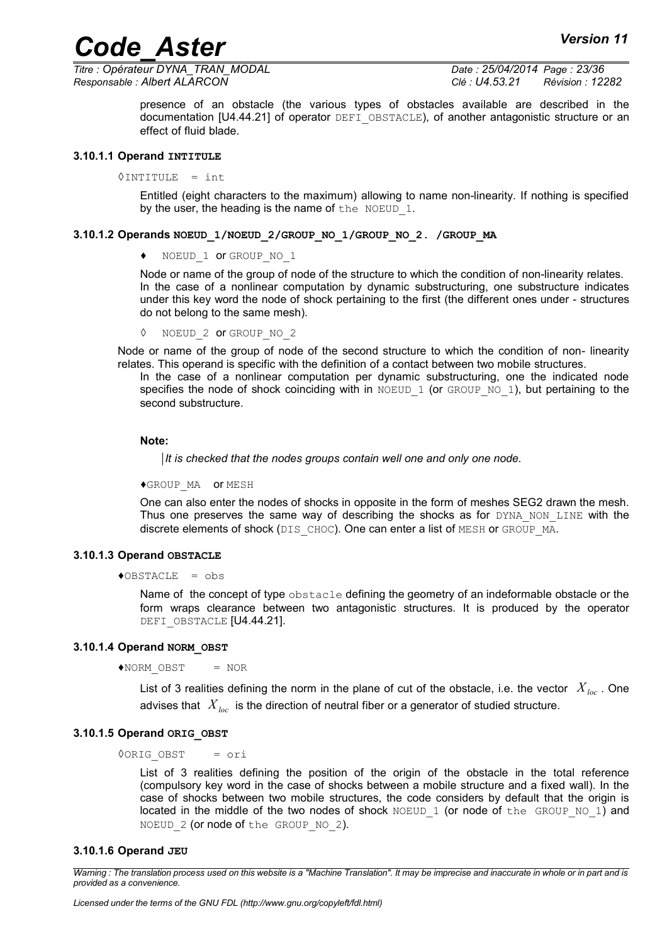*Titre : Opérateur DYNA\_TRAN\_MODAL Date : 25/04/2014 Page : 23/36 Responsable : Albert ALARCON Clé : U4.53.21 Révision : 12282*

presence of an obstacle (the various types of obstacles available are described in the documentation [U4.44.21] of operator DEFI\_OBSTACLE), of another antagonistic structure or an effect of fluid blade.

#### **3.10.1.1 Operand INTITULE**

 $\Diamond$ INTITULE = int

Entitled (eight characters to the maximum) allowing to name non-linearity. If nothing is specified by the user, the heading is the name of the NOEUD  $1$ .

#### **3.10.1.2 Operands NOEUD\_1/NOEUD\_2/GROUP\_NO\_1/GROUP\_NO\_2. /GROUP\_MA**

♦ NOEUD\_1 or GROUP\_NO\_1

Node or name of the group of node of the structure to which the condition of non-linearity relates. In the case of a nonlinear computation by dynamic substructuring, one substructure indicates under this key word the node of shock pertaining to the first (the different ones under - structures do not belong to the same mesh).

◊ NOEUD\_2 or GROUP\_NO\_2

Node or name of the group of node of the second structure to which the condition of non- linearity relates. This operand is specific with the definition of a contact between two mobile structures.

In the case of a nonlinear computation per dynamic substructuring, one the indicated node specifies the node of shock coinciding with in NOEUD 1 (or GROUP NO 1), but pertaining to the second substructure.

#### **Note:**

*It is checked that the nodes groups contain well one and only one node.*

♦GROUP\_MA or MESH

One can also enter the nodes of shocks in opposite in the form of meshes SEG2 drawn the mesh. Thus one preserves the same way of describing the shocks as for  $DYNA$  NON LINE with the discrete elements of shock (DIS CHOC). One can enter a list of MESH or GROUP MA.

#### **3.10.1.3 Operand OBSTACLE**

 $\triangle$ OBSTACLE = obs

Name of the concept of type obstacle defining the geometry of an indeformable obstacle or the form wraps clearance between two antagonistic structures. It is produced by the operator DEFI\_OBSTACLE [U4.44.21].

#### **3.10.1.4 Operand NORM\_OBST**

 $\triangle$ NORM OBST = NOR

List of 3 realities defining the norm in the plane of cut of the obstacle, i.e. the vector *Xloc* . One advises that *Xloc* is the direction of neutral fiber or a generator of studied structure.

#### **3.10.1.5 Operand ORIG\_OBST**

◊ORIG\_OBST = ori

List of 3 realities defining the position of the origin of the obstacle in the total reference (compulsory key word in the case of shocks between a mobile structure and a fixed wall). In the case of shocks between two mobile structures, the code considers by default that the origin is located in the middle of the two nodes of shock  $NOED1$  (or node of the GROUP NO 1) and NOEUD 2 (or node of the GROUP NO 2).

#### **3.10.1.6 Operand JEU**

*Warning : The translation process used on this website is a "Machine Translation". It may be imprecise and inaccurate in whole or in part and is provided as a convenience.*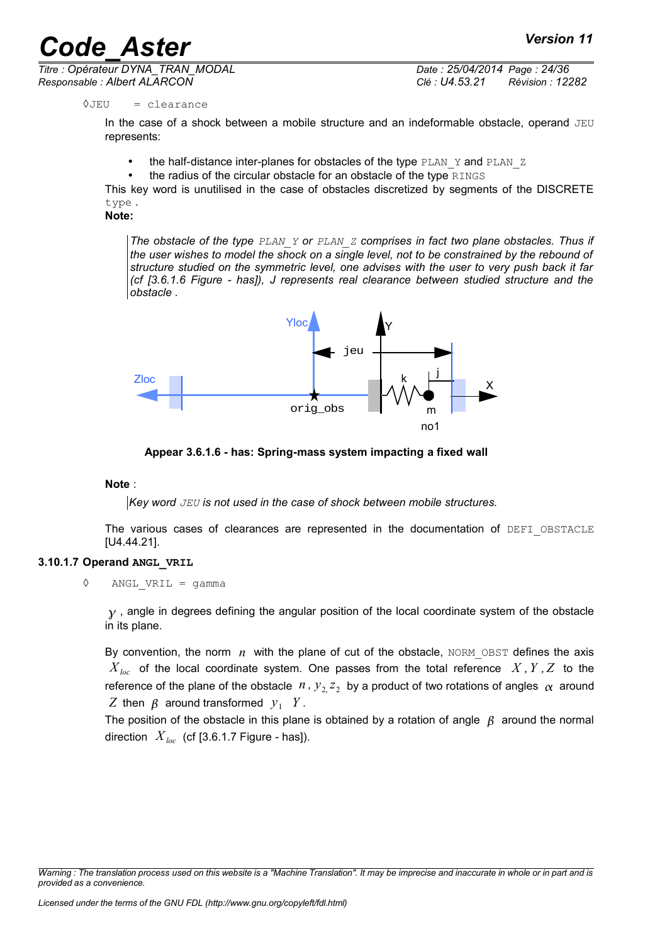*Titre : Opérateur DYNA\_TRAN\_MODAL Date : 25/04/2014 Page : 24/36 Responsable : Albert ALARCON Clé : U4.53.21 Révision : 12282*

#### $0$ JEU = clearance

In the case of a shock between a mobile structure and an indeformable obstacle, operand JEU represents:

- the half-distance inter-planes for obstacles of the type PLAN  $\,$  Y and PLAN  $\,$  Z
- the radius of the circular obstacle for an obstacle of the type RINGS

This key word is unutilised in the case of obstacles discretized by segments of the DISCRETE type .

**Note:**

*The obstacle of the type PLAN\_Y or PLAN\_Z comprises in fact two plane obstacles. Thus if the user wishes to model the shock on a single level, not to be constrained by the rebound of structure studied on the symmetric level, one advises with the user to very push back it far (cf [3.6.1.6 Figure - has]), J represents real clearance between studied structure and the obstacle .*



**Appear 3.6.1.6 - has: Spring-mass system impacting a fixed wall**

#### **Note** :

*Key word JEU is not used in the case of shock between mobile structures.*

The various cases of clearances are represented in the documentation of DEFI\_OBSTACLE [U4.44.21].

#### **3.10.1.7 Operand ANGL\_VRIL**

◊ ANGL\_VRIL = gamma

 $y$ , angle in degrees defining the angular position of the local coordinate system of the obstacle in its plane.

By convention, the norm  $n$  with the plane of cut of the obstacle, NORM\_OBST defines the axis  $X_{loc}$  of the local coordinate system. One passes from the total reference  $X, Y, Z$  to the reference of the plane of the obstacle  $n$  ,  $y_2^2 z_2$  by a product of two rotations of angles  $\alpha$  around *Z* then  $\beta$  around transformed  $y_1$  *Y*.

The position of the obstacle in this plane is obtained by a rotation of angle  $\beta$  around the normal direction  $X_{loc}$  (cf [3.6.1.7 Figure - has]).

*Warning : The translation process used on this website is a "Machine Translation". It may be imprecise and inaccurate in whole or in part and is provided as a convenience.*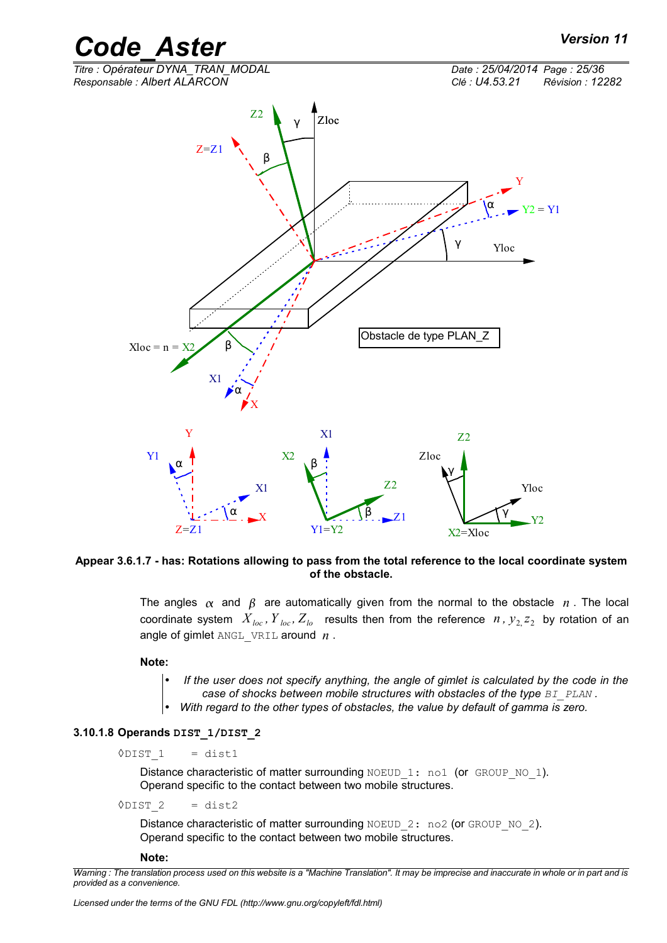

**Appear 3.6.1.7 - has: Rotations allowing to pass from the total reference to the local coordinate system of the obstacle.**

The angles  $\alpha$  and  $\beta$  are automatically given from the normal to the obstacle n. The local coordinate system  $X_{loc}$ ,  $Y_{loc}$ ,  $Z_{lo}$  results then from the reference  $n$ ,  $y_2$ ,  $z_2$  by rotation of an angle of gimlet ANGL\_VRIL around *n* .

**Note:**

- *If the user does not specify anything, the angle of gimlet is calculated by the code in the*
- *case of shocks between mobile structures with obstacles of the type*  $B$ *I\_PLAN .*
- *With regard to the other types of obstacles, the value by default of gamma is zero.*

#### **3.10.1.8 Operands DIST\_1/DIST\_2**

 $\Diamond$ DIST 1 = dist1

Distance characteristic of matter surrounding NOEUD 1: no1 (or GROUP NO 1). Operand specific to the contact between two mobile structures.

 $\sqrt{DIST}$  2 = dist2

Distance characteristic of matter surrounding NOEUD 2: no2 (or GROUP NO 2). Operand specific to the contact between two mobile structures.

#### **Note:**

*Warning : The translation process used on this website is a "Machine Translation". It may be imprecise and inaccurate in whole or in part and is provided as a convenience.*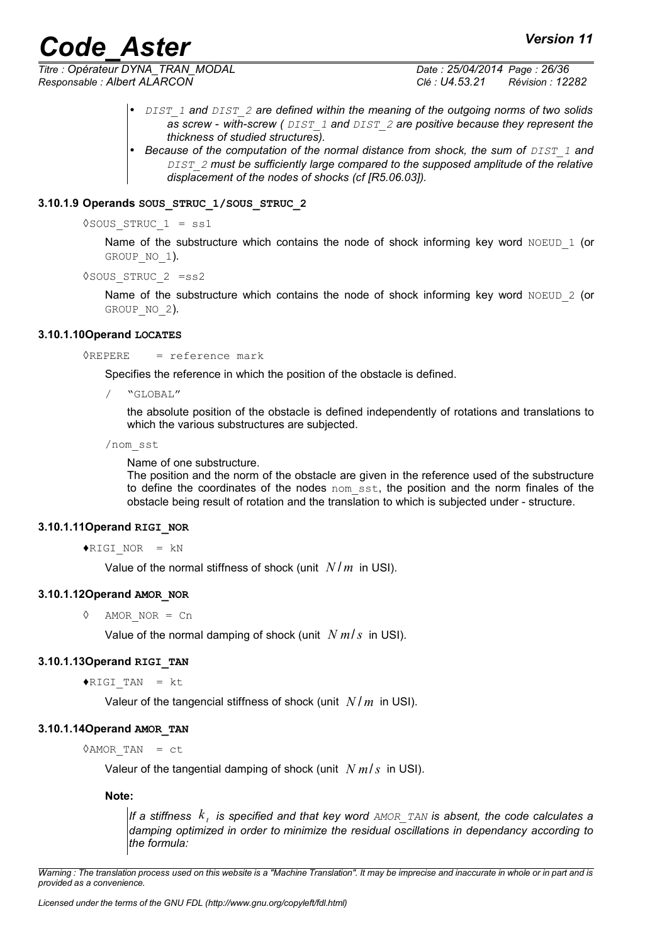*Titre : Opérateur DYNA\_TRAN\_MODAL Date : 25/04/2014 Page : 26/36 Responsable : Albert ALARCON Clé : U4.53.21 Révision : 12282*

- *DIST\_1 and DIST\_2 are defined within the meaning of the outgoing norms of two solids as screw - with-screw ( DIST\_1 and DIST\_2 are positive because they represent the thickness of studied structures).*
- *Because of the computation of the normal distance from shock, the sum of DIST 1 and DIST\_2 must be sufficiently large compared to the supposed amplitude of the relative displacement of the nodes of shocks (cf [R5.06.03]).*

#### **3.10.1.9 Operands SOUS\_STRUC\_1/SOUS\_STRUC\_2**

 $\Diamond$ SOUS STRUC 1 = ss1

Name of the substructure which contains the node of shock informing key word  $N$ OEUD 1 (or GROUP NO 1).

◊SOUS\_STRUC\_2 =ss2

Name of the substructure which contains the node of shock informing key word NOEUD  $2$  (or GROUP NO 2).

#### **3.10.1.10Operand LOCATES**

 $\Diamond$ REPERE = reference mark

Specifies the reference in which the position of the obstacle is defined.

/ "GLOBAL"

the absolute position of the obstacle is defined independently of rotations and translations to which the various substructures are subjected.

/nom\_sst

Name of one substructure.

The position and the norm of the obstacle are given in the reference used of the substructure to define the coordinates of the nodes nom sst, the position and the norm finales of the obstacle being result of rotation and the translation to which is subjected under - structure.

#### **3.10.1.11Operand RIGI\_NOR**

#### $\blacklozenge$ RIGI NOR = kN

Value of the normal stiffness of shock (unit *N* / *m* in USI).

#### **3.10.1.12Operand AMOR\_NOR**

◊ AMOR\_NOR = Cn

Value of the normal damping of shock (unit *N m*/*s* in USI).

#### **3.10.1.13Operand RIGI\_TAN**

 $\blacklozenge$ RIGI TAN = kt

Valeur of the tangencial stiffness of shock (unit *N* / *m* in USI).

#### **3.10.1.14Operand AMOR\_TAN**

 $\Diamond$ AMOR TAN = ct

Valeur of the tangential damping of shock (unit *N m*/*s* in USI).

**Note:**

*If a stiffness k <sup>t</sup> is specified and that key word AMOR\_TAN is absent, the code calculates a damping optimized in order to minimize the residual oscillations in dependancy according to the formula:*

*Warning : The translation process used on this website is a "Machine Translation". It may be imprecise and inaccurate in whole or in part and is provided as a convenience.*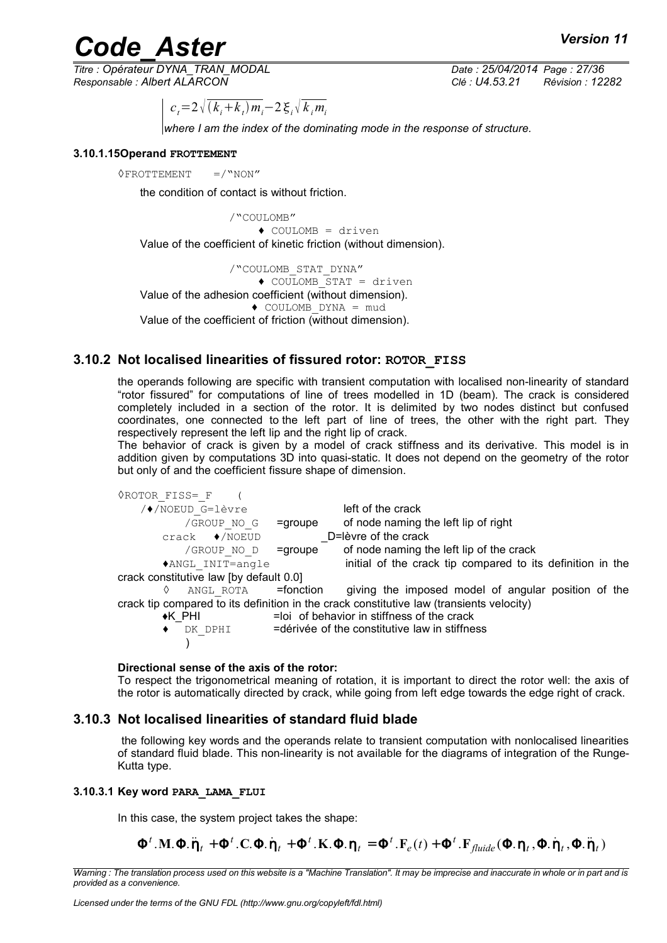*Titre : Opérateur DYNA\_TRAN\_MODAL Date : 25/04/2014 Page : 27/36 Responsable : Albert ALARCON Clé : U4.53.21 Révision : 12282*

 $c_i = 2 \sqrt{(k_i + k_i)} m_i - 2 \xi_i \sqrt{k_i} m_i$ 

*where I am the index of the dominating mode in the response of structure.*

#### **3.10.1.15Operand FROTTEMENT**

 $\Diamond$ FROTTEMENT =/"NON"

the condition of contact is without friction.

/"COULOMB" ♦ COULOMB = driven Value of the coefficient of kinetic friction (without dimension).

/"COULOMB\_STAT\_DYNA"  $\bullet$  COULOMB STAT = driven Value of the adhesion coefficient (without dimension). ♦ COULOMB\_DYNA = mud Value of the coefficient of friction (without dimension).

#### **3.10.2 Not localised linearities of fissured rotor: ROTOR\_FISS**

the operands following are specific with transient computation with localised non-linearity of standard "rotor fissured" for computations of line of trees modelled in 1D (beam). The crack is considered completely included in a section of the rotor. It is delimited by two nodes distinct but confused coordinates, one connected to the left part of line of trees, the other with the right part. They respectively represent the left lip and the right lip of crack.

The behavior of crack is given by a model of crack stiffness and its derivative. This model is in addition given by computations 3D into quasi-static. It does not depend on the geometry of the rotor but only of and the coefficient fissure shape of dimension.

| <b>OROTOR FISS= F</b>                   |            |                                                                                          |
|-----------------------------------------|------------|------------------------------------------------------------------------------------------|
| /◆/NOEUD G=lèvre                        |            | left of the crack                                                                        |
| /GROUP NO G                             | $=$ groupe | of node naming the left lip of right                                                     |
| $crack \quad \bullet/NOEUD$             |            | D=lèvre of the crack                                                                     |
| /GROUP NO D                             | $=$ groupe | of node naming the left lip of the crack                                                 |
| *ANGL INIT=angle                        |            | initial of the crack tip compared to its definition in the                               |
| crack constitutive law [by default 0.0] |            |                                                                                          |
| ANGL ROTA = <b>fonction</b><br>♦        |            | giving the imposed model of angular position of the                                      |
|                                         |            | crack tip compared to its definition in the crack constitutive law (transients velocity) |
| $\star$ K PHI                           |            | =loi of behavior in stiffness of the crack                                               |
| DK DPHI                                 |            | =dérivée of the constitutive law in stiffness                                            |
|                                         |            |                                                                                          |

#### **Directional sense of the axis of the rotor:**

To respect the trigonometrical meaning of rotation, it is important to direct the rotor well: the axis of the rotor is automatically directed by crack, while going from left edge towards the edge right of crack.

#### **3.10.3 Not localised linearities of standard fluid blade**

 the following key words and the operands relate to transient computation with nonlocalised linearities of standard fluid blade. This non-linearity is not available for the diagrams of integration of the Runge-Kutta type.

#### **3.10.3.1 Key word PARA\_LAMA\_FLUI**

In this case, the system project takes the shape:

 $\mathbf{\Phi}^t$ . **M**.  $\mathbf{\Phi}$ .  $\mathbf{\ddot{\eta}}_t + \mathbf{\Phi}^t$ . **C**.  $\mathbf{\Phi}$ .  $\mathbf{\dot{\eta}}_t + \mathbf{\Phi}^t$ . **K**.  $\mathbf{\Phi}$ .  $\mathbf{\eta}_t = \mathbf{\Phi}^t$ . **F**<sub>fluide</sub> $(\mathbf{\Phi}$ .  $\mathbf{\eta}_t$ ,  $\mathbf{\Phi}$ .  $\mathbf{\dot{\eta}}_t$ ,  $\mathbf{\Phi}$ .  $\mathbf{\ddot{\eta}}_t$ *t t t t t t e t*  $f_{\text{full}}\Phi$ . $\ddot{\eta}_t + \Phi^t$ .  $\text{C}$ .  $\Phi$ .  $\dot{\eta}_t + \Phi^t$ .  $\text{K}$ .  $\Phi$ .  $\eta_t = \Phi^t$ .  $\text{F}_{\text{ell}}(t) + \Phi^t$ .  $\text{F}_{\text{fluid}}(\Phi \cdot \eta_t, \Phi \cdot \dot{\eta}_t, \Phi \cdot \dot{\eta}_t)$ 

*Warning : The translation process used on this website is a "Machine Translation". It may be imprecise and inaccurate in whole or in part and is provided as a convenience.*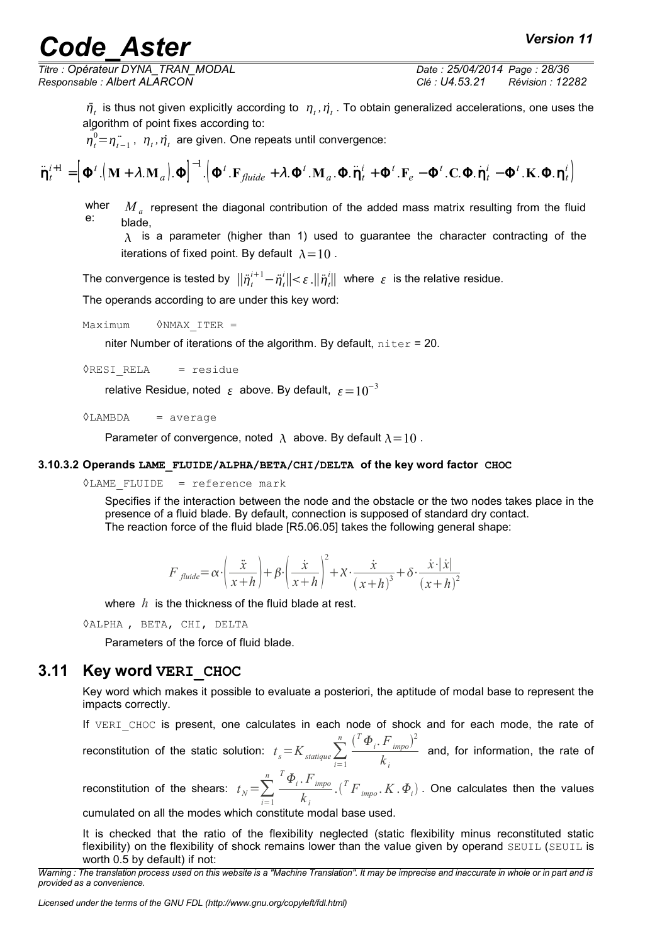# **Code Aster** *Aster Version 11*

*Titre : Opérateur DYNA\_TRAN\_MODAL Date : 25/04/2014 Page : 28/36 Responsable : Albert ALARCON Clé : U4.53.21 Révision : 12282*

 $\ddot{\eta}_t$  is thus not given explicitly according to  $\eta_t$ ,  $\dot{\eta}_t$ . To obtain generalized accelerations, one uses the algorithm of point fixes according to:

 $\eta_t^0 = \eta_{t-1}^{\cdot}$ ,  $\eta_t$ ,  $\eta_t$  are given. One repeats until convergence:

$$
\ddot{\mathbf{\eta}}_t^{i+1} = \left[\boldsymbol{\Phi}^t . (\mathbf{M} + \lambda . \mathbf{M}_a) . \boldsymbol{\Phi}\right]^{-1} . \left(\boldsymbol{\Phi}^t . \mathbf{F}_{\text{fluide}} + \lambda . \boldsymbol{\Phi}^t . \mathbf{M}_a . \boldsymbol{\Phi} . \ddot{\mathbf{\eta}}_t^i + \boldsymbol{\Phi}^t . \mathbf{F}_e - \boldsymbol{\Phi}^t . \mathbf{C} . \boldsymbol{\Phi} . \dot{\mathbf{\eta}}_t^i - \boldsymbol{\Phi}^t . \mathbf{K} . \boldsymbol{\Phi} . \mathbf{\eta}_t^i\right]
$$

wher e:  $\overline{M}_{a}$  represent the diagonal contribution of the added mass matrix resulting from the fluid blade,

 $\lambda$  is a parameter (higher than 1) used to guarantee the character contracting of the iterations of fixed point. By default  $\lambda=10$ .

The convergence is tested by  $\|\ddot{\eta}^{i+1}_t - \ddot{\eta}^i_t\| < \varepsilon$  . $\|\ddot{\eta}^i_t\|$  where  $|\varepsilon|$  is the relative residue.

The operands according to are under this key word:

 $Maximum$   $\Diamond NMAX$  ITER =

niter Number of iterations of the algorithm. By default,  $niter = 20$ .

◊RESI\_RELA = residue

relative Residue, noted  $\epsilon$  above. By default,  $\epsilon=10^{-3}$ 

 $\Diamond$ LAMBDA = average

Parameter of convergence, noted  $\lambda$  above. By default  $\lambda = 10$ .

#### **3.10.3.2 Operands LAME\_FLUIDE/ALPHA/BETA/CHI/DELTA of the key word factor CHOC**

◊LAME\_FLUIDE = reference mark

Specifies if the interaction between the node and the obstacle or the two nodes takes place in the presence of a fluid blade. By default, connection is supposed of standard dry contact. The reaction force of the fluid blade [R5.06.05] takes the following general shape:

$$
F_{\textit{fluide}} = \alpha \cdot \left(\frac{\ddot{x}}{x+h}\right) + \beta \cdot \left(\frac{\dot{x}}{x+h}\right)^2 + \chi \cdot \frac{\dot{x}}{(x+h)^3} + \delta \cdot \frac{\dot{x} \cdot |\dot{x}|}{(x+h)^2}
$$

where *h* is the thickness of the fluid blade at rest.

◊ALPHA , BETA, CHI, DELTA

Parameters of the force of fluid blade.

#### **3.11 Key word VERI\_CHOC**

Key word which makes it possible to evaluate a posteriori, the aptitude of modal base to represent the impacts correctly.

If VERI CHOC is present, one calculates in each node of shock and for each mode, the rate of reconstitution of the static solution:  $t_s = K_{\text{statique}} \sum_{i=1}$  $\sum_{i=1}^{n}$   $\left(\begin{matrix}T\Phi_i\end{matrix},F_{\text{imp}o}\right)^2$  $\frac{imp^{o}}{k_i}$  and, for information, the rate of

reconstitution of the shears:  $t_N = \sum_{i=1}$  $\sum_{i=1}^{n}$   $\sum_{i=1}^{n}$  *F*<sub>*impo*</sub> *k i*  $\mathcal{L}(\big[ \begin{smallmatrix} T & F \end{smallmatrix}_{impo}, K \, , \varPhi_{i})$  . One calculates then the values

cumulated on all the modes which constitute modal base used.

It is checked that the ratio of the flexibility neglected (static flexibility minus reconstituted static flexibility) on the flexibility of shock remains lower than the value given by operand SEUIL (SEUIL is worth 0.5 by default) if not:

*Warning : The translation process used on this website is a "Machine Translation". It may be imprecise and inaccurate in whole or in part and is provided as a convenience.*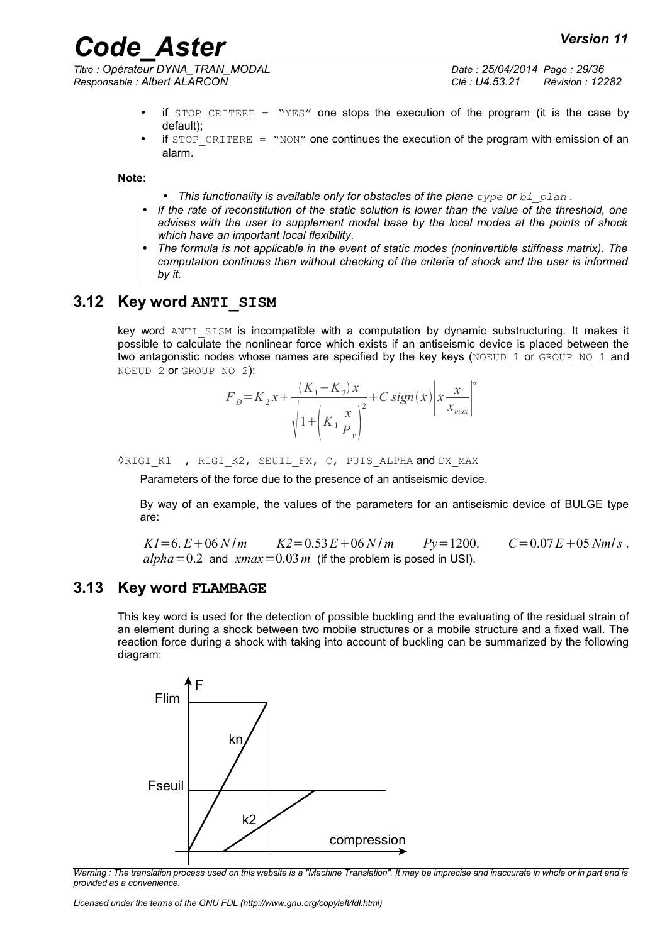*Titre : Opérateur DYNA\_TRAN\_MODAL Date : 25/04/2014 Page : 29/36 Responsable : Albert ALARCON Clé : U4.53.21 Révision : 12282*

- if STOP CRITERE = "YES" one stops the execution of the program (it is the case by default);
- if  $STOP$  CRITERE = "NON" one continues the execution of the program with emission of an alarm.

**Note:**

- This functionality is available only for obstacles of the plane  $type$  or  $bi$  plan.
- *If the rate of reconstitution of the static solution is lower than the value of the threshold, one advises with the user to supplement modal base by the local modes at the points of shock which have an important local flexibility.*
- *The formula is not applicable in the event of static modes (noninvertible stiffness matrix). The computation continues then without checking of the criteria of shock and the user is informed by it.*

#### **3.12 Key word ANTI\_SISM**

key word ANTI SISM is incompatible with a computation by dynamic substructuring. It makes it possible to calculate the nonlinear force which exists if an antiseismic device is placed between the two antagonistic nodes whose names are specified by the key keys (NOEUD 1 or GROUP NO 1 and NOEUD 2 or GROUP NO 2):

$$
F_{D} = K_{2}x + \frac{(K_{1} - K_{2})x}{\sqrt{1 + (K_{1} \frac{x}{P_{y}})^{2}}} + C sign(x) \left| x \frac{x}{x_{max}} \right|^{\alpha}
$$

ORIGI K1, RIGI K2, SEUIL FX, C, PUIS ALPHA and DX MAX

Parameters of the force due to the presence of an antiseismic device.

By way of an example, the values of the parameters for an antiseismic device of BULGE type are:

 $K1 = 6$ ,  $E + 06 N/m$   $K2 = 0.53 E + 06 N/m$   $Pv = 1200$ .  $C = 0.07 E + 05 N m/s$ ,  $alpha=0.2$  and  $xmax=0.03m$  (if the problem is posed in USI).

#### **3.13 Key word FLAMBAGE**

This key word is used for the detection of possible buckling and the evaluating of the residual strain of an element during a shock between two mobile structures or a mobile structure and a fixed wall. The reaction force during a shock with taking into account of buckling can be summarized by the following diagram:



*Warning : The translation process used on this website is a "Machine Translation". It may be imprecise and inaccurate in whole or in part and is provided as a convenience.*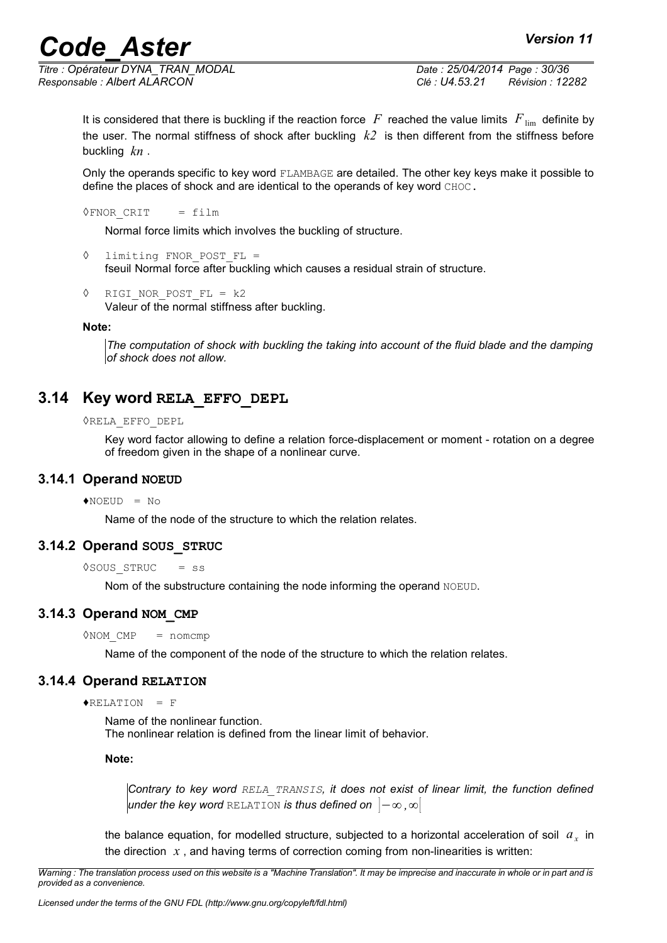*Titre : Opérateur DYNA\_TRAN\_MODAL Date : 25/04/2014 Page : 30/36 Responsable : Albert ALARCON Clé : U4.53.21 Révision : 12282*

It is considered that there is buckling if the reaction force  $F$  reached the value limits  $F_{\text{lim}}$  definite by the user. The normal stiffness of shock after buckling *k2* is then different from the stiffness before buckling *kn* .

Only the operands specific to key word FLAMBAGE are detailed. The other key keys make it possible to define the places of shock and are identical to the operands of key word CHOC.

 $\Diamond$ FNOR CRIT = film

Normal force limits which involves the buckling of structure.

```
◊ limiting FNOR_POST_FL = 
    fseuil Normal force after buckling which causes a residual strain of structure.
```
◊ RIGI\_NOR\_POST\_FL = k2 Valeur of the normal stiffness after buckling.

#### **Note:**

*The computation of shock with buckling the taking into account of the fluid blade and the damping of shock does not allow.*

#### **3.14 Key word RELA\_EFFO\_DEPL**

#### ◊RELA\_EFFO\_DEPL

Key word factor allowing to define a relation force-displacement or moment - rotation on a degree of freedom given in the shape of a nonlinear curve.

#### **3.14.1 Operand NOEUD**

 $\triangle$ NOEUD = No

Name of the node of the structure to which the relation relates.

#### **3.14.2 Operand SOUS\_STRUC**

◊SOUS\_STRUC = ss

Nom of the substructure containing the node informing the operand NOEUD.

#### **3.14.3 Operand NOM\_CMP**

 $\Diamond$ NOM CMP = nomcmp

Name of the component of the node of the structure to which the relation relates.

#### **3.14.4 Operand RELATION**

 $\triangle$ RELATION = F

Name of the nonlinear function. The nonlinear relation is defined from the linear limit of behavior.

#### **Note:**

*Contrary to key word RELA\_TRANSIS, it does not exist of linear limit, the function defined under the key word* RELATION *is thus defined on* ]−∞ *,*∞[

the balance equation, for modelled structure, subjected to a horizontal acceleration of soil  $a_x$  in the direction  $x$ , and having terms of correction coming from non-linearities is written:

*Warning : The translation process used on this website is a "Machine Translation". It may be imprecise and inaccurate in whole or in part and is provided as a convenience.*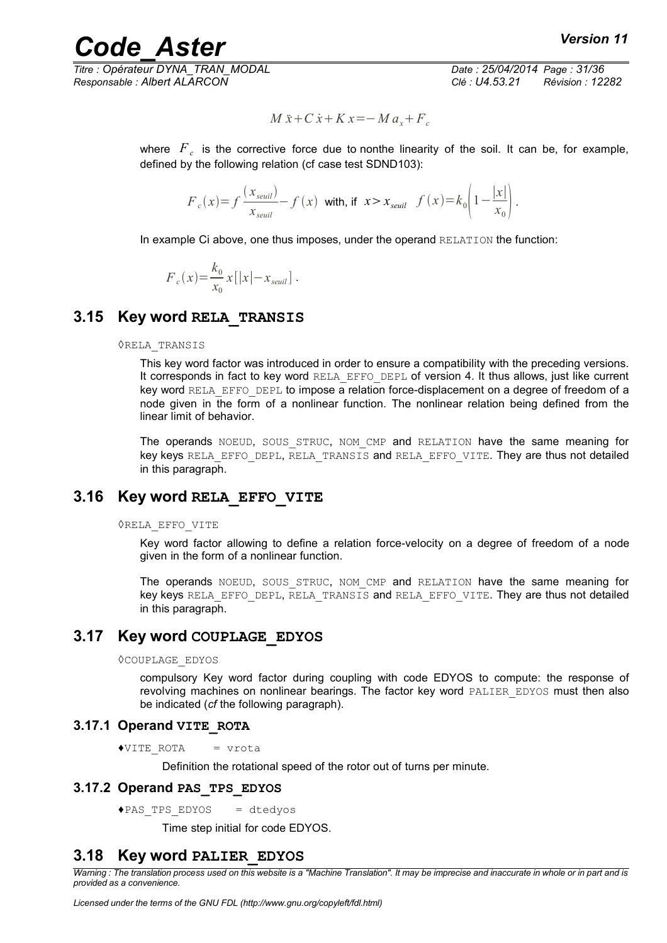*Titre : Opérateur DYNA\_TRAN\_MODAL Date : 25/04/2014 Page : 31/36 Responsable : Albert ALARCON Clé : U4.53.21 Révision : 12282*

$$
M\ddot{x} + C\dot{x} + Kx = -Ma_x + F_c
$$

where  $\overline{F}_c$  is the corrective force due to nonthe linearity of the soil. It can be, for example, defined by the following relation (cf case test SDND103):

$$
F_c(x) = f\frac{(x_{seuil})}{x_{seuil}} - f(x) \text{ with, if } x > x_{seuil} \quad f(x) = k_0 \left(1 - \frac{|x|}{x_0}\right).
$$

In example Ci above, one thus imposes, under the operand RELATION the function:

$$
F_c(x) = \frac{k_0}{x_0} x[|x| - x_{seuil}] .
$$

#### **3.15 Key word RELA\_TRANSIS**

#### ◊RELA\_TRANSIS

This key word factor was introduced in order to ensure a compatibility with the preceding versions. It corresponds in fact to key word RELA\_EFFO\_DEPL of version 4. It thus allows, just like current key word RELA EFFO DEPL to impose a relation force-displacement on a degree of freedom of a node given in the form of a nonlinear function. The nonlinear relation being defined from the linear limit of behavior.

The operands NOEUD, SOUS STRUC, NOM CMP and RELATION have the same meaning for key keys RELA EFFO DEPL, RELA TRANSIS and RELA EFFO VITE. They are thus not detailed in this paragraph.

#### **3.16 Key word RELA\_EFFO\_VITE**

#### ◊RELA\_EFFO\_VITE

Key word factor allowing to define a relation force-velocity on a degree of freedom of a node given in the form of a nonlinear function.

The operands NOEUD, SOUS STRUC, NOM CMP and RELATION have the same meaning for key keys RELA EFFO DEPL, RELA TRANSIS and RELA EFFO VITE. They are thus not detailed in this paragraph.

#### **3.17 Key word COUPLAGE\_EDYOS**

#### ◊COUPLAGE\_EDYOS

compulsory Key word factor during coupling with code EDYOS to compute: the response of revolving machines on nonlinear bearings. The factor key word PALIER EDYOS must then also be indicated (*cf* the following paragraph).

#### **3.17.1 Operand VITE\_ROTA**

♦VITE\_ROTA = vrota

Definition the rotational speed of the rotor out of turns per minute.

#### **3.17.2 Operand PAS\_TPS\_EDYOS**

♦PAS\_TPS\_EDYOS = dtedyos

Time step initial for code EDYOS.

#### **3.18 Key word PALIER\_EDYOS**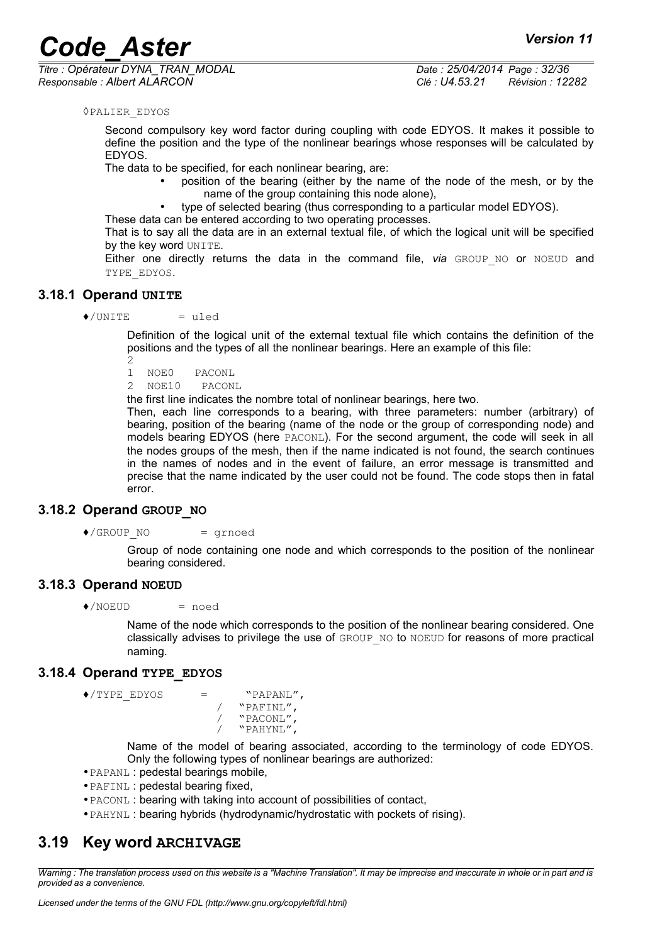*Titre : Opérateur DYNA\_TRAN\_MODAL Date : 25/04/2014 Page : 32/36 Responsable : Albert ALARCON Clé : U4.53.21 Révision : 12282*

#### ◊PALIER\_EDYOS

Second compulsory key word factor during coupling with code EDYOS. It makes it possible to define the position and the type of the nonlinear bearings whose responses will be calculated by EDYOS.

The data to be specified, for each nonlinear bearing, are:

- position of the bearing (either by the name of the node of the mesh, or by the name of the group containing this node alone),
	- type of selected bearing (thus corresponding to a particular model EDYOS).

These data can be entered according to two operating processes. That is to say all the data are in an external textual file, of which the logical unit will be specified by the key word UNITE.

Either one directly returns the data in the command file, via GROUP NO or NOEUD and TYPE\_EDYOS.

#### **3.18.1 Operand UNITE**

 $\triangle$ /UNITE = uled

Definition of the logical unit of the external textual file which contains the definition of the positions and the types of all the nonlinear bearings. Here an example of this file:

2

1 NOE0 PACONL

2 NOE10 PACONL

the first line indicates the nombre total of nonlinear bearings, here two.

Then, each line corresponds to a bearing, with three parameters: number (arbitrary) of bearing, position of the bearing (name of the node or the group of corresponding node) and models bearing EDYOS (here PACONL). For the second argument, the code will seek in all the nodes groups of the mesh, then if the name indicated is not found, the search continues in the names of nodes and in the event of failure, an error message is transmitted and precise that the name indicated by the user could not be found. The code stops then in fatal error.

#### **3.18.2 Operand GROUP\_NO**

 $\bullet$ /GROUP NO = grnoed

Group of node containing one node and which corresponds to the position of the nonlinear bearing considered.

#### **3.18.3 Operand NOEUD**

 $\triangle$ /NOEUD = noed

Name of the node which corresponds to the position of the nonlinear bearing considered. One classically advises to privilege the use of GROUP\_NO to NOEUD for reasons of more practical naming.

#### **3.18.4 Operand TYPE\_EDYOS**

```
\triangle/TYPE EDYOS = "PAPANL",
```
/ "PAFINL", / "PACONL", / "PAHYNL",

Name of the model of bearing associated, according to the terminology of code EDYOS. Only the following types of nonlinear bearings are authorized:

- •PAPANL : pedestal bearings mobile,
- •PAFINL : pedestal bearing fixed,
- •PACONL : bearing with taking into account of possibilities of contact,
- •PAHYNL : bearing hybrids (hydrodynamic/hydrostatic with pockets of rising).

### **3.19 Key word ARCHIVAGE**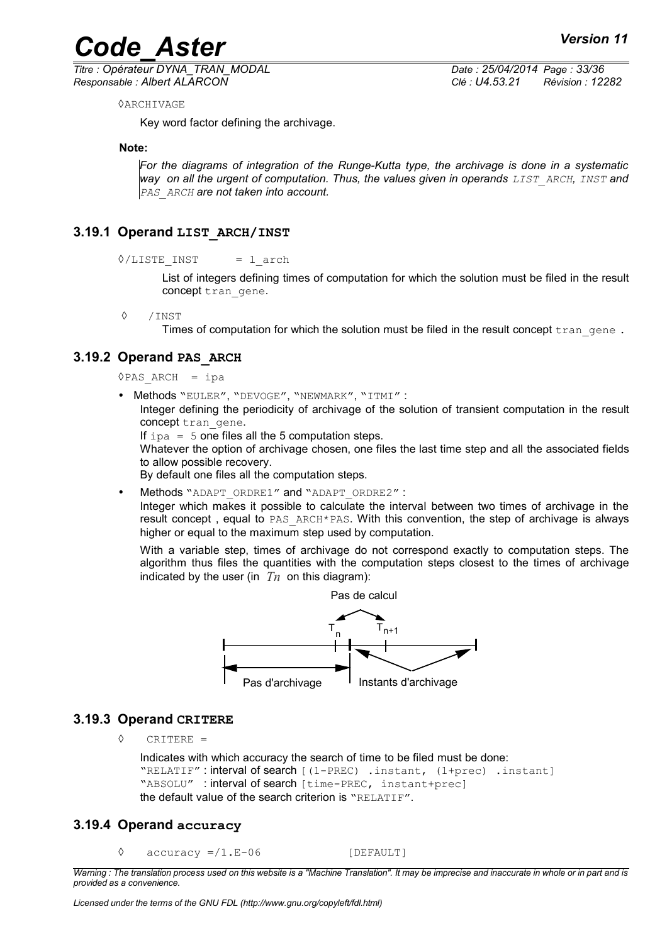*Titre : Opérateur DYNA\_TRAN\_MODAL Date : 25/04/2014 Page : 33/36 Responsable : Albert ALARCON Clé : U4.53.21 Révision : 12282*

◊ARCHIVAGE

Key word factor defining the archivage.

**Note:**

*For the diagrams of integration of the Runge-Kutta type, the archivage is done in a systematic way on all the urgent of computation. Thus, the values given in operands LIST\_ARCH, INST and PAS\_ARCH are not taken into account.*

#### **3.19.1 Operand LIST\_ARCH/INST**

```
\Diamond/LISTE INST = l arch
```
List of integers defining times of computation for which the solution must be filed in the result concept tran\_gene.

◊ /INST

Times of computation for which the solution must be filed in the result concept  $\text{tran}$  gene.

#### **3.19.2 Operand PAS\_ARCH**

 $\Diamond$ PAS ARCH = ipa

• Methods "EULER", "DEVOGE", "NEWMARK", "ITMI" :

Integer defining the periodicity of archivage of the solution of transient computation in the result concept tran gene.

If  $ipa = 5$  one files all the 5 computation steps.

Whatever the option of archivage chosen, one files the last time step and all the associated fields to allow possible recovery.

By default one files all the computation steps.

Methods "ADAPT\_ORDRE1" and "ADAPT\_ORDRE2" :

Integer which makes it possible to calculate the interval between two times of archivage in the result concept, equal to PAS\_ARCH\*PAS. With this convention, the step of archivage is always higher or equal to the maximum step used by computation.

With a variable step, times of archivage do not correspond exactly to computation steps. The algorithm thus files the quantities with the computation steps closest to the times of archivage indicated by the user (in  $T<sub>n</sub>$  on this diagram):



#### **3.19.3 Operand CRITERE**

◊ CRITERE =

Indicates with which accuracy the search of time to be filed must be done: "RELATIF" : interval of search [(1-PREC) .instant, (1+prec) .instant] "ABSOLU" : interval of search [time-PREC, instant+prec] the default value of the search criterion is "RELATIF".

#### **3.19.4 Operand accuracy**

 $\Diamond$  accuracy =/1.E-06 [DEFAULT]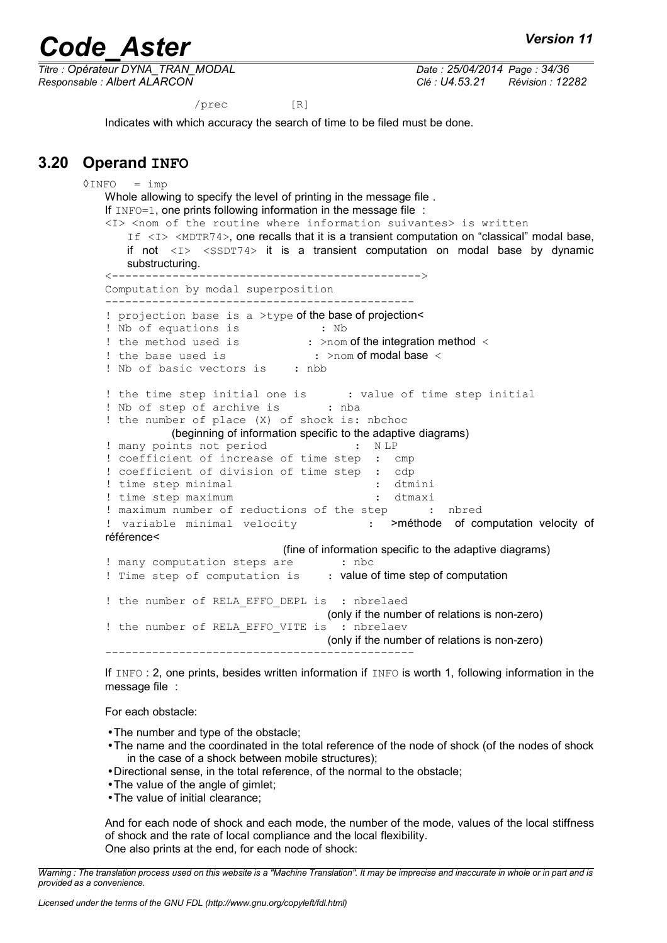*Titre : Opérateur DYNA\_TRAN\_MODAL Date : 25/04/2014 Page : 34/36 Responsable : Albert ALARCON Clé : U4.53.21 Révision : 12282*

/prec [R]

Indicates with which accuracy the search of time to be filed must be done.

### **3.20 Operand INFO**

 $\Diamond$ INFO = imp Whole allowing to specify the level of printing in the message file . If  $INFO=1$ , one prints following information in the message file : <I> <nom of the routine where information suivantes> is written If  $\langle I \rangle$   $\langle MDTR74 \rangle$ , one recalls that it is a transient computation on "classical" modal base, if not  $\langle I \rangle$   $\langle$   $\langle$   $\langle$   $\rangle$   $\langle$   $\rangle$   $\langle$   $\rangle$   $\langle$   $\rangle$  it is a transient computation on modal base by dynamic substructuring. <----------------------------------------------> Computation by modal superposition ---------------------------------------------- ! projection base is a >type of the base of projection< ! Nb of equations is : Nb ! the method used is : >nom of the integration method < ! the base used is : >nom of modal base < ! Nb of basic vectors is : nbb ! the time step initial one is : value of time step initial ! Nb of step of archive is : nba ! the number of place (X) of shock is: nbchoc (beginning of information specific to the adaptive diagrams) ! many points not period : N LP ! coefficient of increase of time step : cmp ! coefficient of division of time step : cdp<br>! time step minimal : dtmini ! time step minimal ! time step maximum : dtmaxi ! maximum number of reductions of the step : nbred ! variable minimal velocity . > méthode of computation velocity of référence< (fine of information specific to the adaptive diagrams) ! many computation steps are : nbc ! Time step of computation is : value of time step of computation ! the number of RELA EFFO DEPL is : nbrelaed (only if the number of relations is non-zero) ! the number of RELA EFFO VITE is : nbrelaev (only if the number of relations is non-zero) ----------------------------------------------

If INFO : 2, one prints, besides written information if INFO is worth 1, following information in the message file :

For each obstacle:

- •The number and type of the obstacle;
- •The name and the coordinated in the total reference of the node of shock (of the nodes of shock in the case of a shock between mobile structures);
- •Directional sense, in the total reference, of the normal to the obstacle;
- •The value of the angle of gimlet;
- •The value of initial clearance;

And for each node of shock and each mode, the number of the mode, values of the local stiffness of shock and the rate of local compliance and the local flexibility. One also prints at the end, for each node of shock:

*Warning : The translation process used on this website is a "Machine Translation". It may be imprecise and inaccurate in whole or in part and is provided as a convenience.*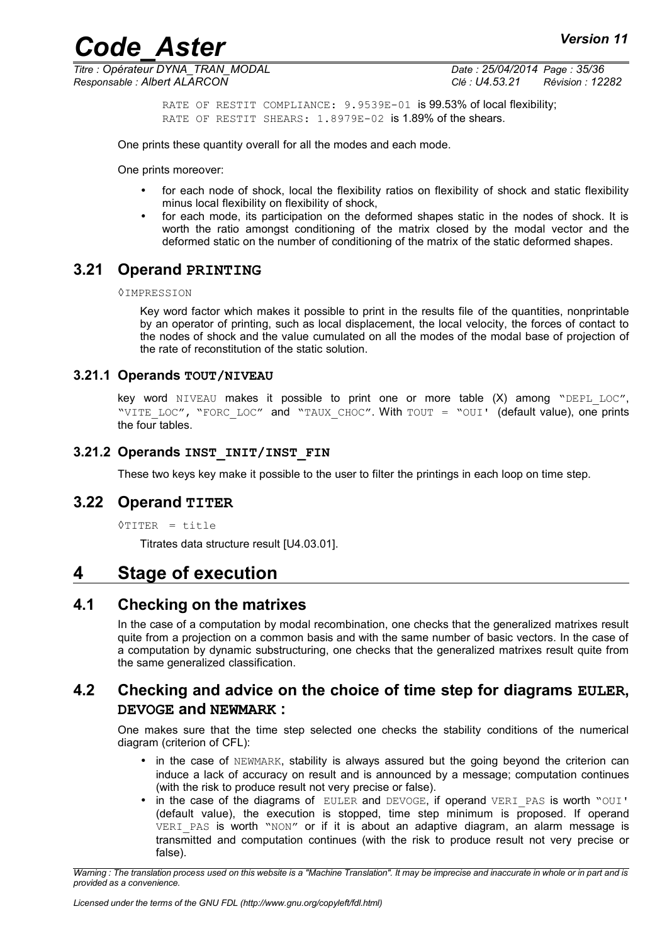*Titre : Opérateur DYNA\_TRAN\_MODAL Date : 25/04/2014 Page : 35/36 Responsable : Albert ALARCON Clé : U4.53.21 Révision : 12282*

RATE OF RESTIT COMPLIANCE: 9.9539E-01 is 99.53% of local flexibility; RATE OF RESTIT SHEARS: 1.8979E-02 is 1.89% of the shears.

One prints these quantity overall for all the modes and each mode.

One prints moreover:

- for each node of shock, local the flexibility ratios on flexibility of shock and static flexibility minus local flexibility on flexibility of shock,
- for each mode, its participation on the deformed shapes static in the nodes of shock. It is worth the ratio amongst conditioning of the matrix closed by the modal vector and the deformed static on the number of conditioning of the matrix of the static deformed shapes.

### **3.21 Operand PRINTING**

#### ◊IMPRESSION

Key word factor which makes it possible to print in the results file of the quantities, nonprintable by an operator of printing, such as local displacement, the local velocity, the forces of contact to the nodes of shock and the value cumulated on all the modes of the modal base of projection of the rate of reconstitution of the static solution.

#### **3.21.1 Operands TOUT/NIVEAU**

key word NIVEAU makes it possible to print one or more table (X) among "DEPL LOC", "VITE LOC", "FORC LOC" and "TAUX CHOC". With TOUT = "OUI' (default value), one prints the four tables.

#### **3.21.2 Operands INST\_INIT/INST\_FIN**

These two keys key make it possible to the user to filter the printings in each loop on time step.

#### **3.22 Operand TITER**

```
◊TITER = title
```
Titrates data structure result [U4.03.01].

### **4 Stage of execution**

#### **4.1 Checking on the matrixes**

In the case of a computation by modal recombination, one checks that the generalized matrixes result quite from a projection on a common basis and with the same number of basic vectors. In the case of a computation by dynamic substructuring, one checks that the generalized matrixes result quite from the same generalized classification.

#### **4.2 Checking and advice on the choice of time step for diagrams EULER, DEVOGE and NEWMARK :**

One makes sure that the time step selected one checks the stability conditions of the numerical diagram (criterion of CFL):

- in the case of NEWMARK, stability is always assured but the going beyond the criterion can induce a lack of accuracy on result and is announced by a message; computation continues (with the risk to produce result not very precise or false).
- in the case of the diagrams of EULER and DEVOGE, if operand VERI PAS is worth "OUI' (default value), the execution is stopped, time step minimum is proposed. If operand VERI PAS is worth "NON" or if it is about an adaptive diagram, an alarm message is transmitted and computation continues (with the risk to produce result not very precise or false).

*Warning : The translation process used on this website is a "Machine Translation". It may be imprecise and inaccurate in whole or in part and is provided as a convenience.*